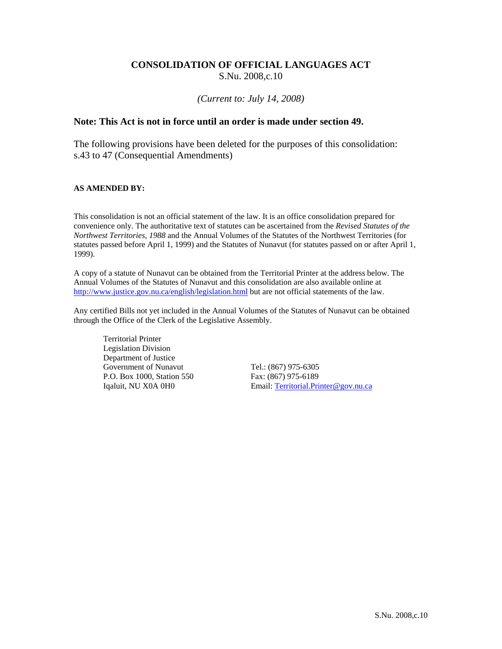#### **CONSOLIDATION OF OFFICIAL LANGUAGES ACT**  S.Nu. 2008,c.10

#### *(Current to: July 14, 2008)*

#### **Note: This Act is not in force until an order is made under section 49.**

The following provisions have been deleted for the purposes of this consolidation: s.43 to 47 (Consequential Amendments)

#### **AS AMENDED BY:**

This consolidation is not an official statement of the law. It is an office consolidation prepared for convenience only. The authoritative text of statutes can be ascertained from the *Revised Statutes of the Northwest Territories, 1988* and the Annual Volumes of the Statutes of the Northwest Territories (for statutes passed before April 1, 1999) and the Statutes of Nunavut (for statutes passed on or after April 1, 1999).

A copy of a statute of Nunavut can be obtained from the Territorial Printer at the address below. The Annual Volumes of the Statutes of Nunavut and this consolidation are also available online at http://www.justice.gov.nu.ca/english/legislation.html but are not official statements of the law.

Any certified Bills not yet included in the Annual Volumes of the Statutes of Nunavut can be obtained through the Office of the Clerk of the Legislative Assembly.

Territorial Printer Legislation Division Department of Justice Government of Nunavut Tel.: (867) 975-6305 P.O. Box 1000, Station 550 Fax: (867) 975-6189

Iqaluit, NU X0A 0H0 Email: Territorial.Printer@gov.nu.ca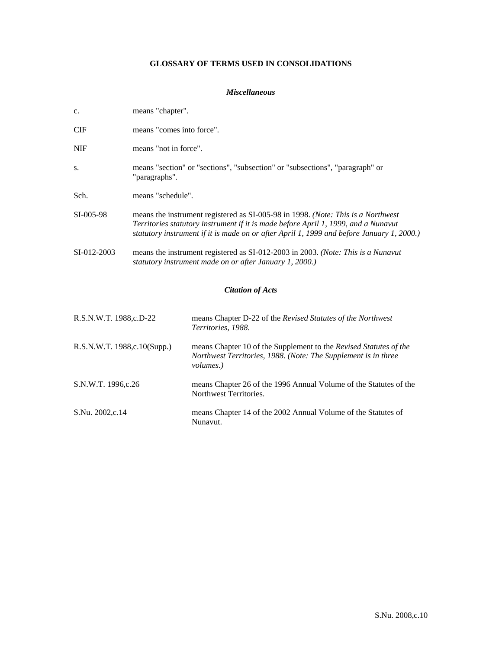#### **GLOSSARY OF TERMS USED IN CONSOLIDATIONS**

#### *Miscellaneous*

| c.                          | means "chapter".          |                                                                                                                                                                                                                                                                     |
|-----------------------------|---------------------------|---------------------------------------------------------------------------------------------------------------------------------------------------------------------------------------------------------------------------------------------------------------------|
| CIF                         | means "comes into force". |                                                                                                                                                                                                                                                                     |
| <b>NIF</b>                  | means "not in force".     |                                                                                                                                                                                                                                                                     |
| S.                          | "paragraphs".             | means "section" or "sections", "subsection" or "subsections", "paragraph" or                                                                                                                                                                                        |
| Sch.                        | means "schedule".         |                                                                                                                                                                                                                                                                     |
| SI-005-98                   |                           | means the instrument registered as SI-005-98 in 1998. (Note: This is a Northwest<br>Territories statutory instrument if it is made before April 1, 1999, and a Nunavut<br>statutory instrument if it is made on or after April 1, 1999 and before January 1, 2000.) |
| SI-012-2003                 |                           | means the instrument registered as SI-012-2003 in 2003. (Note: This is a Nunavut<br>statutory instrument made on or after January 1, 2000.)                                                                                                                         |
|                             |                           | <b>Citation of Acts</b>                                                                                                                                                                                                                                             |
| R.S.N.W.T. 1988,c.D-22      |                           | means Chapter D-22 of the Revised Statutes of the Northwest<br>Territories, 1988.                                                                                                                                                                                   |
| R.S.N.W.T. 1988,c.10(Supp.) |                           | means Chapter 10 of the Supplement to the Revised Statutes of the<br>Northwest Territories, 1988. (Note: The Supplement is in three<br><i>volumes.</i> )                                                                                                            |
| S.N.W.T. 1996,c.26          |                           | means Chapter 26 of the 1996 Annual Volume of the Statutes of the<br>Northwest Territories.                                                                                                                                                                         |
| S.Nu. 2002,c.14             |                           | means Chapter 14 of the 2002 Annual Volume of the Statutes of<br>Nunavut.                                                                                                                                                                                           |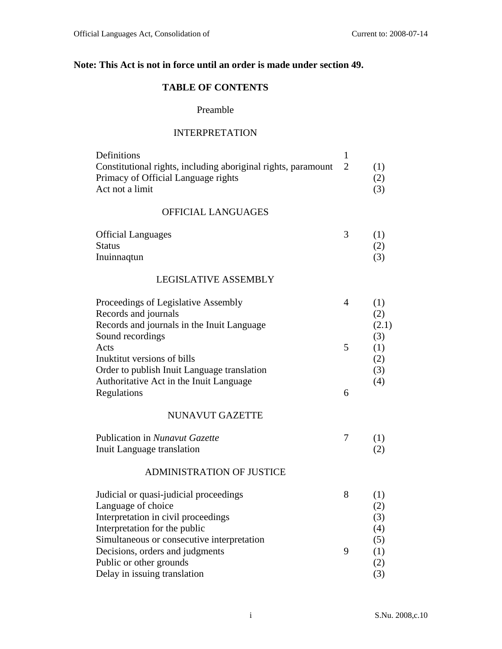## **Note: This Act is not in force until an order is made under section 49.**

## **TABLE OF CONTENTS**

### Preamble

#### INTERPRETATION

| Definitions                                                     |     |
|-----------------------------------------------------------------|-----|
| Constitutional rights, including aboriginal rights, paramount 2 | (1) |
| Primacy of Official Language rights                             | (2) |
| Act not a limit                                                 | (3) |

## OFFICIAL LANGUAGES

| <b>Official Languages</b> |  |
|---------------------------|--|
| <b>Status</b>             |  |
| Inuinnaqtun               |  |

#### LEGISLATIVE ASSEMBLY

| Proceedings of Legislative Assembly         |   |       |
|---------------------------------------------|---|-------|
| Records and journals                        |   | (2)   |
| Records and journals in the Inuit Language  |   | (2.1) |
| Sound recordings                            |   | (3)   |
| Acts                                        | 5 | (1)   |
| Inuktitut versions of bills                 |   | (2)   |
| Order to publish Inuit Language translation |   | (3)   |
| Authoritative Act in the Inuit Language     |   | (4)   |
| Regulations                                 | 6 |       |

#### NUNAVUT GAZETTE

| Publication in Nunavut Gazette |  |
|--------------------------------|--|
| Inuit Language translation     |  |

#### ADMINISTRATION OF JUSTICE

| Judicial or quasi-judicial proceedings     |   |     |
|--------------------------------------------|---|-----|
| Language of choice                         |   | (2) |
| Interpretation in civil proceedings        |   | (3) |
| Interpretation for the public              |   | (4) |
| Simultaneous or consecutive interpretation |   | (5) |
| Decisions, orders and judgments            | 9 | (1) |
| Public or other grounds                    |   | (2) |
| Delay in issuing translation               |   |     |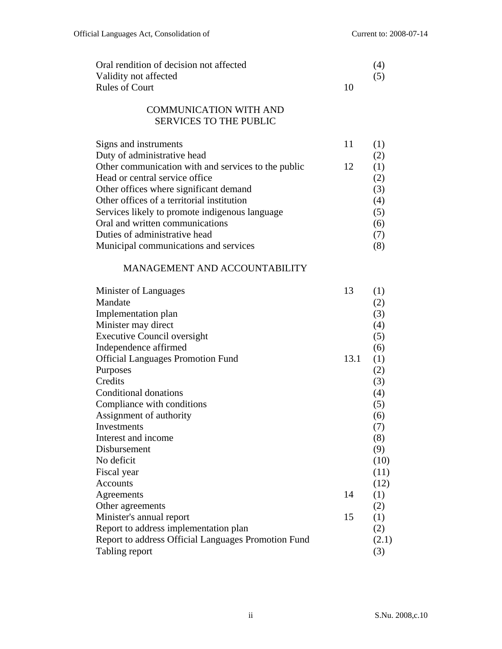| Oral rendition of decision not affected                        |      | (4)              |
|----------------------------------------------------------------|------|------------------|
| Validity not affected                                          |      | (5)              |
| <b>Rules of Court</b>                                          | 10   |                  |
| <b>COMMUNICATION WITH AND</b><br><b>SERVICES TO THE PUBLIC</b> |      |                  |
| Signs and instruments                                          | 11   | (1)              |
| Duty of administrative head                                    |      | (2)              |
| Other communication with and services to the public            | 12   | (1)              |
| Head or central service office                                 |      | (2)              |
| Other offices where significant demand                         |      | (3)              |
| Other offices of a territorial institution                     |      | (4)              |
| Services likely to promote indigenous language                 |      | (5)              |
| Oral and written communications                                |      | (6)              |
| Duties of administrative head                                  |      | (7)              |
| Municipal communications and services                          |      | (8)              |
| MANAGEMENT AND ACCOUNTABILITY                                  |      |                  |
| Minister of Languages                                          | 13   | (1)              |
| Mandate                                                        |      | (2)              |
| Implementation plan                                            |      | (3)              |
| Minister may direct                                            |      | (4)              |
| <b>Executive Council oversight</b>                             |      | (5)              |
| Independence affirmed                                          |      | (6)              |
| <b>Official Languages Promotion Fund</b>                       | 13.1 | (1)              |
| Purposes                                                       |      | (2)              |
| Credits                                                        |      | (3)              |
| <b>Conditional donations</b>                                   |      | (4)              |
| Compliance with conditions                                     |      | (5)              |
| Assignment of authority                                        |      | (6)              |
| Investments                                                    |      | (7)              |
| Interest and income                                            |      | (8)              |
| Disbursement                                                   |      | (9)              |
| No deficit                                                     |      | (10)             |
| Fiscal year                                                    |      | (11)             |
| <b>Accounts</b>                                                |      | (12)             |
| Agreements                                                     | 14   | $\left(1\right)$ |
| Other agreements                                               |      | (2)              |
| Minister's annual report                                       | 15   | (1)              |
| Report to address implementation plan                          |      | (2)              |
| Report to address Official Languages Promotion Fund            |      | (2.1)            |
| Tabling report                                                 |      | (3)              |
|                                                                |      |                  |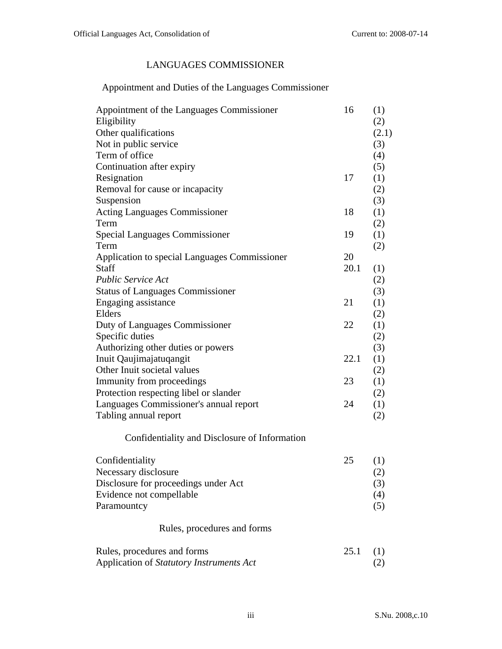## LANGUAGES COMMISSIONER

# Appointment and Duties of the Languages Commissioner

| Other qualifications<br>(2.1)<br>Not in public service<br>(3)<br>Term of office<br>(4)<br>Continuation after expiry<br>(5)<br>Resignation<br>17<br>(1)<br>Removal for cause or incapacity<br>(2)<br>Suspension<br>(3)<br>18<br><b>Acting Languages Commissioner</b><br>(1)<br>Term<br>(2)<br><b>Special Languages Commissioner</b><br>19<br>(1)<br>Term<br>(2)<br>Application to special Languages Commissioner<br>20<br>20.1<br><b>Staff</b><br>(1)<br><b>Public Service Act</b><br>(2)<br><b>Status of Languages Commissioner</b><br>(3)<br>21<br>(1)<br>Engaging assistance<br>Elders<br>(2)<br>Duty of Languages Commissioner<br>22<br>(1)<br>Specific duties<br>(2)<br>Authorizing other duties or powers<br>(3)<br>Inuit Qaujimajatuqangit<br>22.1<br>(1)<br>Other Inuit societal values<br>(2)<br>23<br>Immunity from proceedings<br>(1)<br>Protection respecting libel or slander<br>(2)<br>Languages Commissioner's annual report<br>24<br>(1)<br>Tabling annual report<br>(2)<br>Confidentiality and Disclosure of Information<br>25<br>Confidentiality<br>(1)<br>Necessary disclosure<br>(2)<br>Disclosure for proceedings under Act<br>(3)<br>Evidence not compellable<br>(4)<br>Paramountcy<br>(5)<br>Rules, procedures and forms<br>25.1<br>Rules, procedures and forms<br>(1)<br>Application of Statutory Instruments Act<br>(2) | Appointment of the Languages Commissioner<br>Eligibility | 16 | (1)<br>(2) |
|-------------------------------------------------------------------------------------------------------------------------------------------------------------------------------------------------------------------------------------------------------------------------------------------------------------------------------------------------------------------------------------------------------------------------------------------------------------------------------------------------------------------------------------------------------------------------------------------------------------------------------------------------------------------------------------------------------------------------------------------------------------------------------------------------------------------------------------------------------------------------------------------------------------------------------------------------------------------------------------------------------------------------------------------------------------------------------------------------------------------------------------------------------------------------------------------------------------------------------------------------------------------------------------------------------------------------------------------------|----------------------------------------------------------|----|------------|
|                                                                                                                                                                                                                                                                                                                                                                                                                                                                                                                                                                                                                                                                                                                                                                                                                                                                                                                                                                                                                                                                                                                                                                                                                                                                                                                                                 |                                                          |    |            |
|                                                                                                                                                                                                                                                                                                                                                                                                                                                                                                                                                                                                                                                                                                                                                                                                                                                                                                                                                                                                                                                                                                                                                                                                                                                                                                                                                 |                                                          |    |            |
|                                                                                                                                                                                                                                                                                                                                                                                                                                                                                                                                                                                                                                                                                                                                                                                                                                                                                                                                                                                                                                                                                                                                                                                                                                                                                                                                                 |                                                          |    |            |
|                                                                                                                                                                                                                                                                                                                                                                                                                                                                                                                                                                                                                                                                                                                                                                                                                                                                                                                                                                                                                                                                                                                                                                                                                                                                                                                                                 |                                                          |    |            |
|                                                                                                                                                                                                                                                                                                                                                                                                                                                                                                                                                                                                                                                                                                                                                                                                                                                                                                                                                                                                                                                                                                                                                                                                                                                                                                                                                 |                                                          |    |            |
|                                                                                                                                                                                                                                                                                                                                                                                                                                                                                                                                                                                                                                                                                                                                                                                                                                                                                                                                                                                                                                                                                                                                                                                                                                                                                                                                                 |                                                          |    |            |
|                                                                                                                                                                                                                                                                                                                                                                                                                                                                                                                                                                                                                                                                                                                                                                                                                                                                                                                                                                                                                                                                                                                                                                                                                                                                                                                                                 |                                                          |    |            |
|                                                                                                                                                                                                                                                                                                                                                                                                                                                                                                                                                                                                                                                                                                                                                                                                                                                                                                                                                                                                                                                                                                                                                                                                                                                                                                                                                 |                                                          |    |            |
|                                                                                                                                                                                                                                                                                                                                                                                                                                                                                                                                                                                                                                                                                                                                                                                                                                                                                                                                                                                                                                                                                                                                                                                                                                                                                                                                                 |                                                          |    |            |
|                                                                                                                                                                                                                                                                                                                                                                                                                                                                                                                                                                                                                                                                                                                                                                                                                                                                                                                                                                                                                                                                                                                                                                                                                                                                                                                                                 |                                                          |    |            |
|                                                                                                                                                                                                                                                                                                                                                                                                                                                                                                                                                                                                                                                                                                                                                                                                                                                                                                                                                                                                                                                                                                                                                                                                                                                                                                                                                 |                                                          |    |            |
|                                                                                                                                                                                                                                                                                                                                                                                                                                                                                                                                                                                                                                                                                                                                                                                                                                                                                                                                                                                                                                                                                                                                                                                                                                                                                                                                                 |                                                          |    |            |
|                                                                                                                                                                                                                                                                                                                                                                                                                                                                                                                                                                                                                                                                                                                                                                                                                                                                                                                                                                                                                                                                                                                                                                                                                                                                                                                                                 |                                                          |    |            |
|                                                                                                                                                                                                                                                                                                                                                                                                                                                                                                                                                                                                                                                                                                                                                                                                                                                                                                                                                                                                                                                                                                                                                                                                                                                                                                                                                 |                                                          |    |            |
|                                                                                                                                                                                                                                                                                                                                                                                                                                                                                                                                                                                                                                                                                                                                                                                                                                                                                                                                                                                                                                                                                                                                                                                                                                                                                                                                                 |                                                          |    |            |
|                                                                                                                                                                                                                                                                                                                                                                                                                                                                                                                                                                                                                                                                                                                                                                                                                                                                                                                                                                                                                                                                                                                                                                                                                                                                                                                                                 |                                                          |    |            |
|                                                                                                                                                                                                                                                                                                                                                                                                                                                                                                                                                                                                                                                                                                                                                                                                                                                                                                                                                                                                                                                                                                                                                                                                                                                                                                                                                 |                                                          |    |            |
|                                                                                                                                                                                                                                                                                                                                                                                                                                                                                                                                                                                                                                                                                                                                                                                                                                                                                                                                                                                                                                                                                                                                                                                                                                                                                                                                                 |                                                          |    |            |
|                                                                                                                                                                                                                                                                                                                                                                                                                                                                                                                                                                                                                                                                                                                                                                                                                                                                                                                                                                                                                                                                                                                                                                                                                                                                                                                                                 |                                                          |    |            |
|                                                                                                                                                                                                                                                                                                                                                                                                                                                                                                                                                                                                                                                                                                                                                                                                                                                                                                                                                                                                                                                                                                                                                                                                                                                                                                                                                 |                                                          |    |            |
|                                                                                                                                                                                                                                                                                                                                                                                                                                                                                                                                                                                                                                                                                                                                                                                                                                                                                                                                                                                                                                                                                                                                                                                                                                                                                                                                                 |                                                          |    |            |
|                                                                                                                                                                                                                                                                                                                                                                                                                                                                                                                                                                                                                                                                                                                                                                                                                                                                                                                                                                                                                                                                                                                                                                                                                                                                                                                                                 |                                                          |    |            |
|                                                                                                                                                                                                                                                                                                                                                                                                                                                                                                                                                                                                                                                                                                                                                                                                                                                                                                                                                                                                                                                                                                                                                                                                                                                                                                                                                 |                                                          |    |            |
|                                                                                                                                                                                                                                                                                                                                                                                                                                                                                                                                                                                                                                                                                                                                                                                                                                                                                                                                                                                                                                                                                                                                                                                                                                                                                                                                                 |                                                          |    |            |
|                                                                                                                                                                                                                                                                                                                                                                                                                                                                                                                                                                                                                                                                                                                                                                                                                                                                                                                                                                                                                                                                                                                                                                                                                                                                                                                                                 |                                                          |    |            |
|                                                                                                                                                                                                                                                                                                                                                                                                                                                                                                                                                                                                                                                                                                                                                                                                                                                                                                                                                                                                                                                                                                                                                                                                                                                                                                                                                 |                                                          |    |            |
|                                                                                                                                                                                                                                                                                                                                                                                                                                                                                                                                                                                                                                                                                                                                                                                                                                                                                                                                                                                                                                                                                                                                                                                                                                                                                                                                                 |                                                          |    |            |
|                                                                                                                                                                                                                                                                                                                                                                                                                                                                                                                                                                                                                                                                                                                                                                                                                                                                                                                                                                                                                                                                                                                                                                                                                                                                                                                                                 |                                                          |    |            |
|                                                                                                                                                                                                                                                                                                                                                                                                                                                                                                                                                                                                                                                                                                                                                                                                                                                                                                                                                                                                                                                                                                                                                                                                                                                                                                                                                 |                                                          |    |            |
|                                                                                                                                                                                                                                                                                                                                                                                                                                                                                                                                                                                                                                                                                                                                                                                                                                                                                                                                                                                                                                                                                                                                                                                                                                                                                                                                                 |                                                          |    |            |
|                                                                                                                                                                                                                                                                                                                                                                                                                                                                                                                                                                                                                                                                                                                                                                                                                                                                                                                                                                                                                                                                                                                                                                                                                                                                                                                                                 |                                                          |    |            |
|                                                                                                                                                                                                                                                                                                                                                                                                                                                                                                                                                                                                                                                                                                                                                                                                                                                                                                                                                                                                                                                                                                                                                                                                                                                                                                                                                 |                                                          |    |            |
|                                                                                                                                                                                                                                                                                                                                                                                                                                                                                                                                                                                                                                                                                                                                                                                                                                                                                                                                                                                                                                                                                                                                                                                                                                                                                                                                                 |                                                          |    |            |
|                                                                                                                                                                                                                                                                                                                                                                                                                                                                                                                                                                                                                                                                                                                                                                                                                                                                                                                                                                                                                                                                                                                                                                                                                                                                                                                                                 |                                                          |    |            |
|                                                                                                                                                                                                                                                                                                                                                                                                                                                                                                                                                                                                                                                                                                                                                                                                                                                                                                                                                                                                                                                                                                                                                                                                                                                                                                                                                 |                                                          |    |            |
|                                                                                                                                                                                                                                                                                                                                                                                                                                                                                                                                                                                                                                                                                                                                                                                                                                                                                                                                                                                                                                                                                                                                                                                                                                                                                                                                                 |                                                          |    |            |
|                                                                                                                                                                                                                                                                                                                                                                                                                                                                                                                                                                                                                                                                                                                                                                                                                                                                                                                                                                                                                                                                                                                                                                                                                                                                                                                                                 |                                                          |    |            |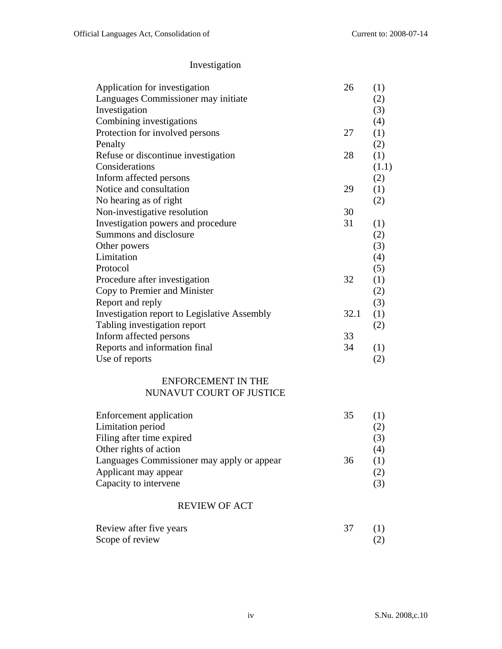# Investigation

| Application for investigation                | 26   | (1)   |
|----------------------------------------------|------|-------|
| Languages Commissioner may initiate          |      | (2)   |
| Investigation                                |      | (3)   |
| Combining investigations                     |      | (4)   |
| Protection for involved persons              | 27   | (1)   |
| Penalty                                      |      | (2)   |
| Refuse or discontinue investigation          | 28   | (1)   |
| Considerations                               |      | (1.1) |
| Inform affected persons                      |      | (2)   |
| Notice and consultation                      | 29   | (1)   |
| No hearing as of right                       |      | (2)   |
| Non-investigative resolution                 | 30   |       |
| Investigation powers and procedure           | 31   | (1)   |
| Summons and disclosure                       |      | (2)   |
| Other powers                                 |      | (3)   |
| Limitation                                   |      | (4)   |
| Protocol                                     |      | (5)   |
| Procedure after investigation                | 32   | (1)   |
| Copy to Premier and Minister                 |      | (2)   |
| Report and reply                             |      | (3)   |
| Investigation report to Legislative Assembly | 32.1 | (1)   |
| Tabling investigation report                 |      | (2)   |
| Inform affected persons                      | 33   |       |
| Reports and information final                | 34   | (1)   |
| Use of reports                               |      | (2)   |
|                                              |      |       |

### ENFORCEMENT IN THE NUNAVUT COURT OF JUSTICE

| Enforcement application                    | 35 |     |
|--------------------------------------------|----|-----|
| Limitation period                          |    | (2) |
| Filing after time expired                  |    | (3) |
| Other rights of action                     |    | (4) |
| Languages Commissioner may apply or appear | 36 | (1) |
| Applicant may appear                       |    | (2) |
| Capacity to intervene                      |    |     |

## REVIEW OF ACT

| Review after five years |  |
|-------------------------|--|
| Scope of review         |  |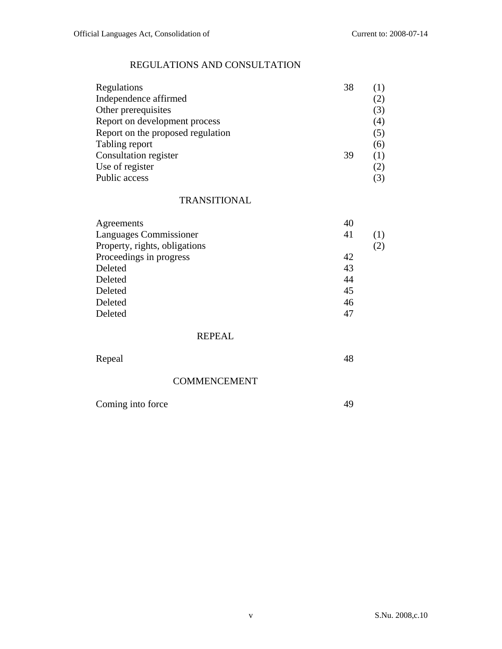## REGULATIONS AND CONSULTATION

| Regulations                       | 38 |     |
|-----------------------------------|----|-----|
| Independence affirmed             |    | (2) |
| Other prerequisites               |    | (3) |
| Report on development process     |    | (4) |
| Report on the proposed regulation |    | (5) |
| Tabling report                    |    | (6) |
| Consultation register             | 39 | (1) |
| Use of register                   |    | (2) |
| Public access                     |    |     |

### TRANSITIONAL

| Agreements                    | 40 |       |
|-------------------------------|----|-------|
| Languages Commissioner        | 41 | ( 1 ) |
| Property, rights, obligations |    | (2)   |
| Proceedings in progress       | 42 |       |
| Deleted                       | 43 |       |
| Deleted                       | 44 |       |
| Deleted                       | 45 |       |
| Deleted                       | 46 |       |
| Deleted                       | 47 |       |

### REPEAL

| Repeal              | 48 |
|---------------------|----|
| <b>COMMENCEMENT</b> |    |
| Coming into force   | 49 |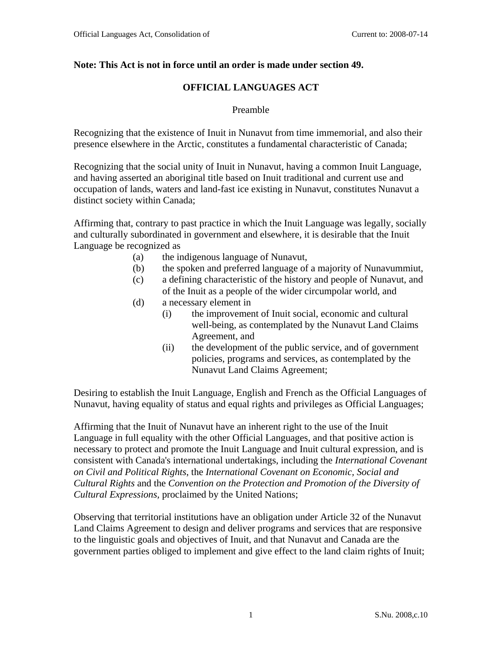## **Note: This Act is not in force until an order is made under section 49.**

## **OFFICIAL LANGUAGES ACT**

#### Preamble

Recognizing that the existence of Inuit in Nunavut from time immemorial, and also their presence elsewhere in the Arctic, constitutes a fundamental characteristic of Canada;

Recognizing that the social unity of Inuit in Nunavut, having a common Inuit Language, and having asserted an aboriginal title based on Inuit traditional and current use and occupation of lands, waters and land-fast ice existing in Nunavut, constitutes Nunavut a distinct society within Canada;

Affirming that, contrary to past practice in which the Inuit Language was legally, socially and culturally subordinated in government and elsewhere, it is desirable that the Inuit Language be recognized as

- (a) the indigenous language of Nunavut,
- (b) the spoken and preferred language of a majority of Nunavummiut,
- (c) a defining characteristic of the history and people of Nunavut, and of the Inuit as a people of the wider circumpolar world, and
- (d) a necessary element in
	- (i) the improvement of Inuit social, economic and cultural well-being, as contemplated by the Nunavut Land Claims Agreement, and
	- (ii) the development of the public service, and of government policies, programs and services, as contemplated by the Nunavut Land Claims Agreement;

Desiring to establish the Inuit Language, English and French as the Official Languages of Nunavut, having equality of status and equal rights and privileges as Official Languages;

Affirming that the Inuit of Nunavut have an inherent right to the use of the Inuit Language in full equality with the other Official Languages, and that positive action is necessary to protect and promote the Inuit Language and Inuit cultural expression, and is consistent with Canada's international undertakings, including the *International Covenant on Civil and Political Rights*, the *International Covenant on Economic, Social and Cultural Rights* and the *Convention on the Protection and Promotion of the Diversity of Cultural Expressions,* proclaimed by the United Nations;

Observing that territorial institutions have an obligation under Article 32 of the Nunavut Land Claims Agreement to design and deliver programs and services that are responsive to the linguistic goals and objectives of Inuit, and that Nunavut and Canada are the government parties obliged to implement and give effect to the land claim rights of Inuit;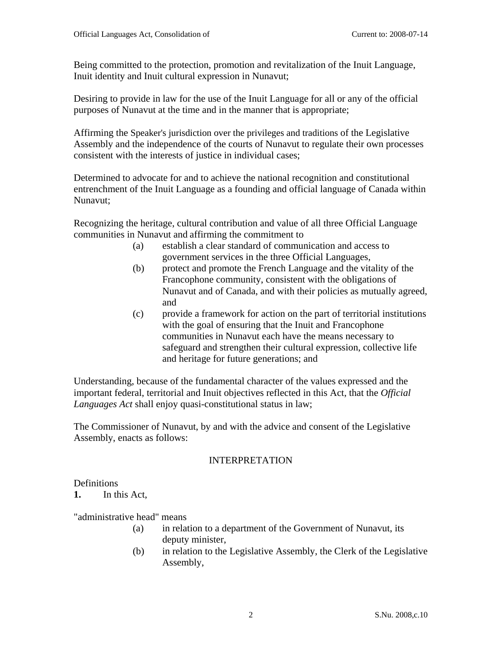Being committed to the protection, promotion and revitalization of the Inuit Language, Inuit identity and Inuit cultural expression in Nunavut;

Desiring to provide in law for the use of the Inuit Language for all or any of the official purposes of Nunavut at the time and in the manner that is appropriate;

Affirming the Speaker's jurisdiction over the privileges and traditions of the Legislative Assembly and the independence of the courts of Nunavut to regulate their own processes consistent with the interests of justice in individual cases;

Determined to advocate for and to achieve the national recognition and constitutional entrenchment of the Inuit Language as a founding and official language of Canada within Nunavut;

Recognizing the heritage, cultural contribution and value of all three Official Language communities in Nunavut and affirming the commitment to

- (a) establish a clear standard of communication and access to government services in the three Official Languages,
- (b) protect and promote the French Language and the vitality of the Francophone community, consistent with the obligations of Nunavut and of Canada, and with their policies as mutually agreed, and
- (c) provide a framework for action on the part of territorial institutions with the goal of ensuring that the Inuit and Francophone communities in Nunavut each have the means necessary to safeguard and strengthen their cultural expression, collective life and heritage for future generations; and

Understanding, because of the fundamental character of the values expressed and the important federal, territorial and Inuit objectives reflected in this Act, that the *Official Languages Act* shall enjoy quasi-constitutional status in law;

The Commissioner of Nunavut, by and with the advice and consent of the Legislative Assembly, enacts as follows:

## INTERPRETATION

## **Definitions**

**1.** In this Act,

"administrative head" means

- (a) in relation to a department of the Government of Nunavut, its deputy minister,
- (b) in relation to the Legislative Assembly, the Clerk of the Legislative Assembly,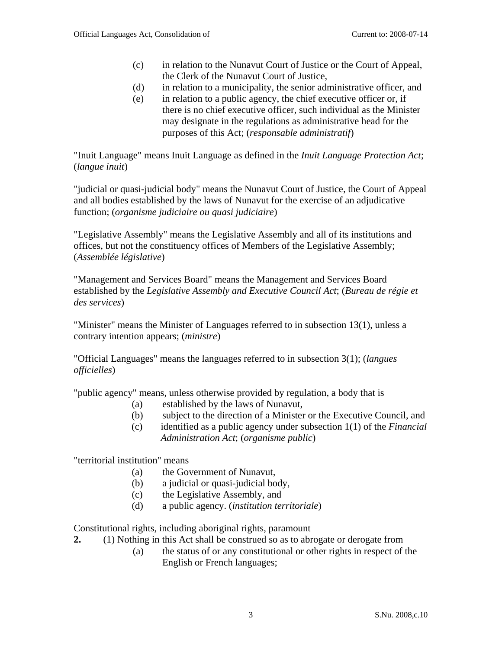- (c) in relation to the Nunavut Court of Justice or the Court of Appeal, the Clerk of the Nunavut Court of Justice,
- (d) in relation to a municipality, the senior administrative officer, and
- (e) in relation to a public agency, the chief executive officer or, if there is no chief executive officer, such individual as the Minister may designate in the regulations as administrative head for the purposes of this Act; (*responsable administratif*)

"Inuit Language" means Inuit Language as defined in the *Inuit Language Protection Act*; (*langue inuit*)

"judicial or quasi-judicial body" means the Nunavut Court of Justice, the Court of Appeal and all bodies established by the laws of Nunavut for the exercise of an adjudicative function; (*organisme judiciaire ou quasi judiciaire*)

"Legislative Assembly" means the Legislative Assembly and all of its institutions and offices, but not the constituency offices of Members of the Legislative Assembly; (*Assemblée législative*)

"Management and Services Board" means the Management and Services Board established by the *Legislative Assembly and Executive Council Act*; (*Bureau de régie et des services*)

"Minister" means the Minister of Languages referred to in subsection 13(1), unless a contrary intention appears; (*ministre*)

"Official Languages" means the languages referred to in subsection 3(1); (*langues officielles*)

"public agency" means, unless otherwise provided by regulation, a body that is

- (a) established by the laws of Nunavut,
- (b) subject to the direction of a Minister or the Executive Council, and
- (c) identified as a public agency under subsection 1(1) of the *Financial Administration Act*; (*organisme public*)

"territorial institution" means

- (a) the Government of Nunavut,
- (b) a judicial or quasi-judicial body,
- (c) the Legislative Assembly, and
- (d) a public agency. (*institution territoriale*)

Constitutional rights, including aboriginal rights, paramount

- **2.** (1) Nothing in this Act shall be construed so as to abrogate or derogate from
	- (a) the status of or any constitutional or other rights in respect of the English or French languages;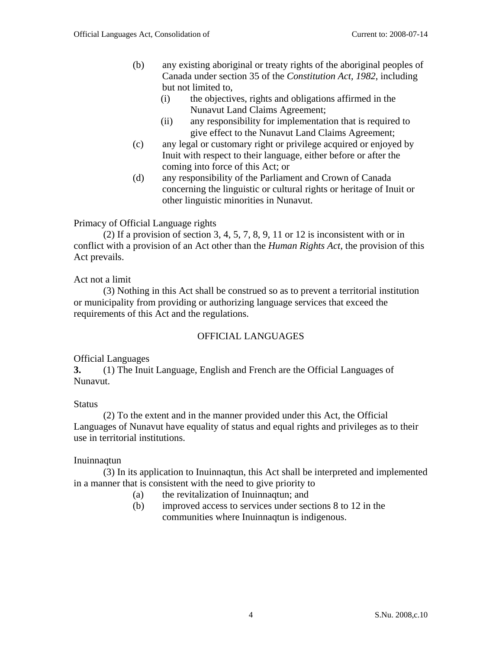- (b) any existing aboriginal or treaty rights of the aboriginal peoples of Canada under section 35 of the *Constitution Act, 1982*, including but not limited to,
	- (i) the objectives, rights and obligations affirmed in the Nunavut Land Claims Agreement;
	- (ii) any responsibility for implementation that is required to give effect to the Nunavut Land Claims Agreement;
- (c) any legal or customary right or privilege acquired or enjoyed by Inuit with respect to their language, either before or after the coming into force of this Act; or
- (d) any responsibility of the Parliament and Crown of Canada concerning the linguistic or cultural rights or heritage of Inuit or other linguistic minorities in Nunavut.

Primacy of Official Language rights

(2) If a provision of section 3, 4, 5, 7, 8, 9, 11 or 12 is inconsistent with or in conflict with a provision of an Act other than the *Human Rights Act*, the provision of this Act prevails.

## Act not a limit

(3) Nothing in this Act shall be construed so as to prevent a territorial institution or municipality from providing or authorizing language services that exceed the requirements of this Act and the regulations.

## OFFICIAL LANGUAGES

## Official Languages

**3.** (1) The Inuit Language, English and French are the Official Languages of Nunavut.

#### Status

(2) To the extent and in the manner provided under this Act, the Official Languages of Nunavut have equality of status and equal rights and privileges as to their use in territorial institutions.

#### Inuinnaqtun

(3) In its application to Inuinnaqtun, this Act shall be interpreted and implemented in a manner that is consistent with the need to give priority to

- (a) the revitalization of Inuinnaqtun; and
- (b) improved access to services under sections 8 to 12 in the communities where Inuinnaqtun is indigenous.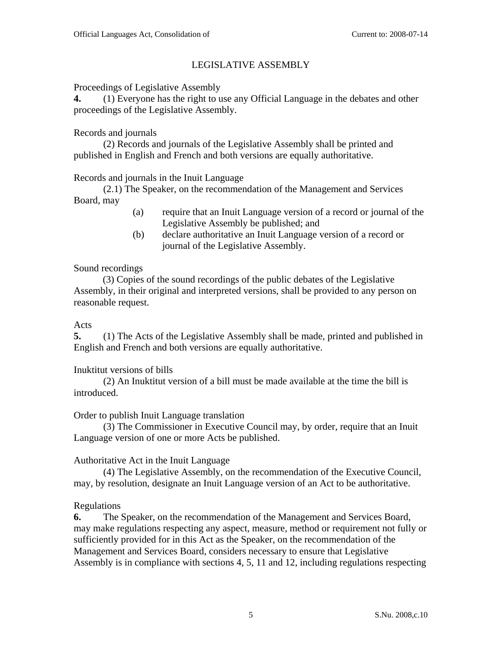## LEGISLATIVE ASSEMBLY

Proceedings of Legislative Assembly

**4.** (1) Everyone has the right to use any Official Language in the debates and other proceedings of the Legislative Assembly.

## Records and journals

(2) Records and journals of the Legislative Assembly shall be printed and published in English and French and both versions are equally authoritative.

## Records and journals in the Inuit Language

(2.1) The Speaker, on the recommendation of the Management and Services Board, may

- (a) require that an Inuit Language version of a record or journal of the Legislative Assembly be published; and
- (b) declare authoritative an Inuit Language version of a record or journal of the Legislative Assembly.

## Sound recordings

(3) Copies of the sound recordings of the public debates of the Legislative Assembly, in their original and interpreted versions, shall be provided to any person on reasonable request.

## Acts

**5.** (1) The Acts of the Legislative Assembly shall be made, printed and published in English and French and both versions are equally authoritative.

## Inuktitut versions of bills

 (2) An Inuktitut version of a bill must be made available at the time the bill is introduced.

## Order to publish Inuit Language translation

(3) The Commissioner in Executive Council may, by order, require that an Inuit Language version of one or more Acts be published.

## Authoritative Act in the Inuit Language

 (4) The Legislative Assembly, on the recommendation of the Executive Council, may, by resolution, designate an Inuit Language version of an Act to be authoritative.

## Regulations

**6.** The Speaker, on the recommendation of the Management and Services Board, may make regulations respecting any aspect, measure, method or requirement not fully or sufficiently provided for in this Act as the Speaker, on the recommendation of the Management and Services Board, considers necessary to ensure that Legislative Assembly is in compliance with sections 4, 5, 11 and 12, including regulations respecting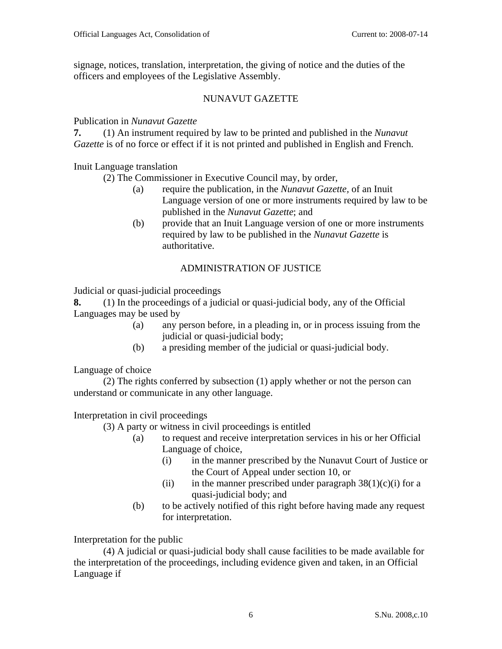signage, notices, translation, interpretation, the giving of notice and the duties of the officers and employees of the Legislative Assembly.

## NUNAVUT GAZETTE

Publication in *Nunavut Gazette* 

**7.** (1) An instrument required by law to be printed and published in the *Nunavut Gazette* is of no force or effect if it is not printed and published in English and French.

Inuit Language translation

(2) The Commissioner in Executive Council may, by order,

- (a) require the publication, in the *Nunavut Gazette,* of an Inuit Language version of one or more instruments required by law to be published in the *Nunavut Gazette*; and
- (b) provide that an Inuit Language version of one or more instruments required by law to be published in the *Nunavut Gazette* is authoritative.

## ADMINISTRATION OF JUSTICE

Judicial or quasi-judicial proceedings

**8.** (1) In the proceedings of a judicial or quasi-judicial body, any of the Official Languages may be used by

- (a) any person before, in a pleading in, or in process issuing from the judicial or quasi-judicial body;
- (b) a presiding member of the judicial or quasi-judicial body.

Language of choice

(2) The rights conferred by subsection (1) apply whether or not the person can understand or communicate in any other language.

Interpretation in civil proceedings

- (3) A party or witness in civil proceedings is entitled
	- (a) to request and receive interpretation services in his or her Official Language of choice,
		- (i) in the manner prescribed by the Nunavut Court of Justice or the Court of Appeal under section 10, or
		- (ii) in the manner prescribed under paragraph  $38(1)(c)(i)$  for a quasi-judicial body; and
	- (b) to be actively notified of this right before having made any request for interpretation.

Interpretation for the public

(4) A judicial or quasi-judicial body shall cause facilities to be made available for the interpretation of the proceedings, including evidence given and taken, in an Official Language if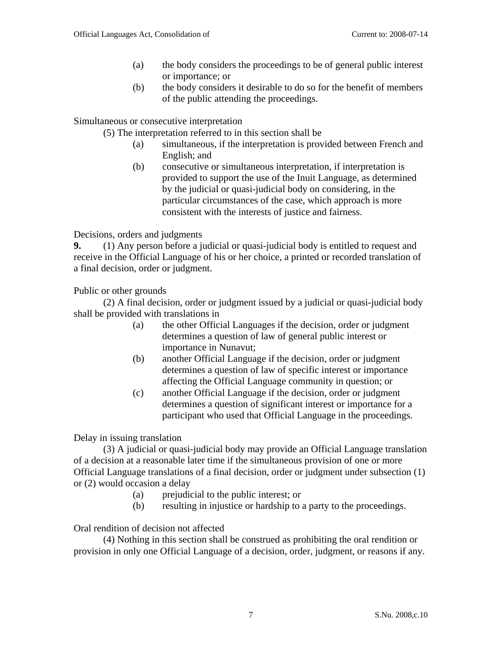- (a) the body considers the proceedings to be of general public interest or importance; or
- (b) the body considers it desirable to do so for the benefit of members of the public attending the proceedings.

Simultaneous or consecutive interpretation

(5) The interpretation referred to in this section shall be

- (a) simultaneous, if the interpretation is provided between French and English; and
- (b) consecutive or simultaneous interpretation, if interpretation is provided to support the use of the Inuit Language, as determined by the judicial or quasi-judicial body on considering, in the particular circumstances of the case, which approach is more consistent with the interests of justice and fairness.

Decisions, orders and judgments

**9.** (1) Any person before a judicial or quasi-judicial body is entitled to request and receive in the Official Language of his or her choice, a printed or recorded translation of a final decision, order or judgment.

Public or other grounds

(2) A final decision, order or judgment issued by a judicial or quasi-judicial body shall be provided with translations in

- (a) the other Official Languages if the decision, order or judgment determines a question of law of general public interest or importance in Nunavut;
- (b) another Official Language if the decision, order or judgment determines a question of law of specific interest or importance affecting the Official Language community in question; or
- (c) another Official Language if the decision, order or judgment determines a question of significant interest or importance for a participant who used that Official Language in the proceedings.

Delay in issuing translation

(3) A judicial or quasi-judicial body may provide an Official Language translation of a decision at a reasonable later time if the simultaneous provision of one or more Official Language translations of a final decision, order or judgment under subsection (1) or (2) would occasion a delay

- (a) prejudicial to the public interest; or
- (b) resulting in injustice or hardship to a party to the proceedings.

Oral rendition of decision not affected

(4) Nothing in this section shall be construed as prohibiting the oral rendition or provision in only one Official Language of a decision, order, judgment, or reasons if any.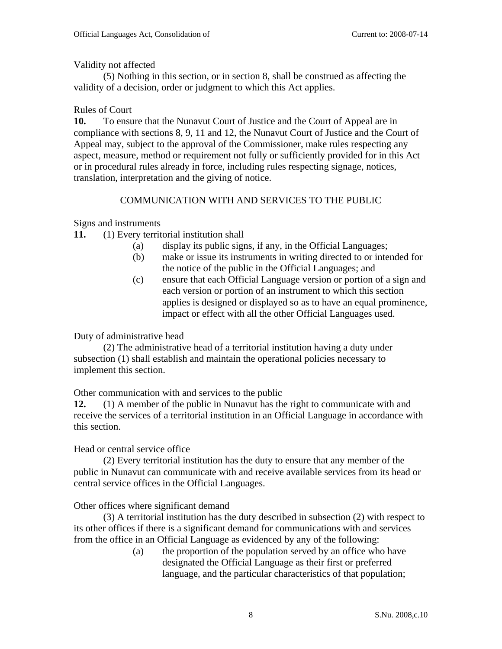## Validity not affected

(5) Nothing in this section, or in section 8, shall be construed as affecting the validity of a decision, order or judgment to which this Act applies.

## Rules of Court

**10.** To ensure that the Nunavut Court of Justice and the Court of Appeal are in compliance with sections 8, 9, 11 and 12, the Nunavut Court of Justice and the Court of Appeal may, subject to the approval of the Commissioner, make rules respecting any aspect, measure, method or requirement not fully or sufficiently provided for in this Act or in procedural rules already in force, including rules respecting signage, notices, translation, interpretation and the giving of notice.

## COMMUNICATION WITH AND SERVICES TO THE PUBLIC

Signs and instruments

- **11.** (1) Every territorial institution shall
	- (a) display its public signs, if any, in the Official Languages;
	- (b) make or issue its instruments in writing directed to or intended for the notice of the public in the Official Languages; and
	- (c) ensure that each Official Language version or portion of a sign and each version or portion of an instrument to which this section applies is designed or displayed so as to have an equal prominence, impact or effect with all the other Official Languages used.

## Duty of administrative head

(2) The administrative head of a territorial institution having a duty under subsection (1) shall establish and maintain the operational policies necessary to implement this section.

## Other communication with and services to the public

**12.** (1) A member of the public in Nunavut has the right to communicate with and receive the services of a territorial institution in an Official Language in accordance with this section.

## Head or central service office

(2) Every territorial institution has the duty to ensure that any member of the public in Nunavut can communicate with and receive available services from its head or central service offices in the Official Languages.

## Other offices where significant demand

(3) A territorial institution has the duty described in subsection (2) with respect to its other offices if there is a significant demand for communications with and services from the office in an Official Language as evidenced by any of the following:

(a) the proportion of the population served by an office who have designated the Official Language as their first or preferred language, and the particular characteristics of that population;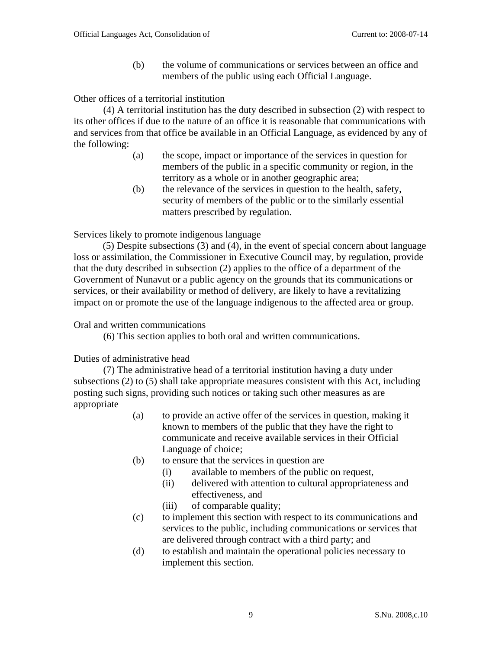(b) the volume of communications or services between an office and members of the public using each Official Language.

Other offices of a territorial institution

(4) A territorial institution has the duty described in subsection (2) with respect to its other offices if due to the nature of an office it is reasonable that communications with and services from that office be available in an Official Language, as evidenced by any of the following:

- (a) the scope, impact or importance of the services in question for members of the public in a specific community or region, in the territory as a whole or in another geographic area;
- (b) the relevance of the services in question to the health, safety, security of members of the public or to the similarly essential matters prescribed by regulation.

Services likely to promote indigenous language

(5) Despite subsections (3) and (4), in the event of special concern about language loss or assimilation, the Commissioner in Executive Council may, by regulation, provide that the duty described in subsection (2) applies to the office of a department of the Government of Nunavut or a public agency on the grounds that its communications or services, or their availability or method of delivery, are likely to have a revitalizing impact on or promote the use of the language indigenous to the affected area or group.

#### Oral and written communications

(6) This section applies to both oral and written communications.

#### Duties of administrative head

(7) The administrative head of a territorial institution having a duty under subsections (2) to (5) shall take appropriate measures consistent with this Act, including posting such signs, providing such notices or taking such other measures as are appropriate

- (a) to provide an active offer of the services in question, making it known to members of the public that they have the right to communicate and receive available services in their Official Language of choice;
- (b) to ensure that the services in question are
	- (i) available to members of the public on request,
	- (ii) delivered with attention to cultural appropriateness and effectiveness, and
	- (iii) of comparable quality;
- (c) to implement this section with respect to its communications and services to the public, including communications or services that are delivered through contract with a third party; and
- (d) to establish and maintain the operational policies necessary to implement this section.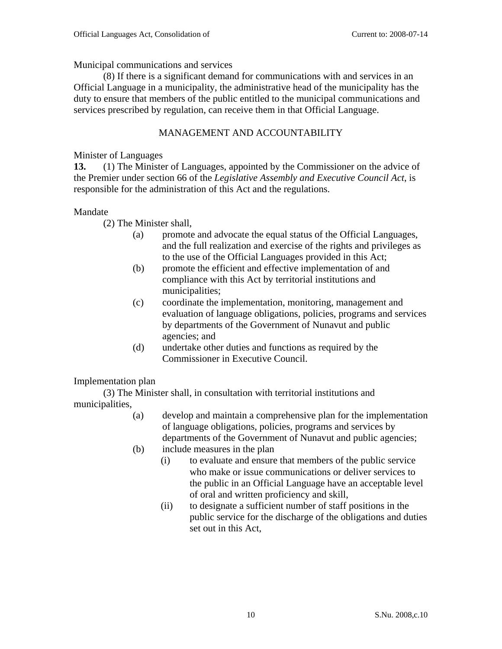Municipal communications and services

(8) If there is a significant demand for communications with and services in an Official Language in a municipality, the administrative head of the municipality has the duty to ensure that members of the public entitled to the municipal communications and services prescribed by regulation, can receive them in that Official Language.

## MANAGEMENT AND ACCOUNTABILITY

## Minister of Languages

**13.** (1) The Minister of Languages, appointed by the Commissioner on the advice of the Premier under section 66 of the *Legislative Assembly and Executive Council Act*, is responsible for the administration of this Act and the regulations.

## Mandate

(2) The Minister shall,

- (a) promote and advocate the equal status of the Official Languages, and the full realization and exercise of the rights and privileges as to the use of the Official Languages provided in this Act;
- (b) promote the efficient and effective implementation of and compliance with this Act by territorial institutions and municipalities;
- (c) coordinate the implementation, monitoring, management and evaluation of language obligations, policies, programs and services by departments of the Government of Nunavut and public agencies; and
- (d) undertake other duties and functions as required by the Commissioner in Executive Council.

## Implementation plan

(3) The Minister shall, in consultation with territorial institutions and municipalities,

- (a) develop and maintain a comprehensive plan for the implementation of language obligations, policies, programs and services by departments of the Government of Nunavut and public agencies;
- (b) include measures in the plan
	- (i) to evaluate and ensure that members of the public service who make or issue communications or deliver services to the public in an Official Language have an acceptable level of oral and written proficiency and skill,
	- (ii) to designate a sufficient number of staff positions in the public service for the discharge of the obligations and duties set out in this Act,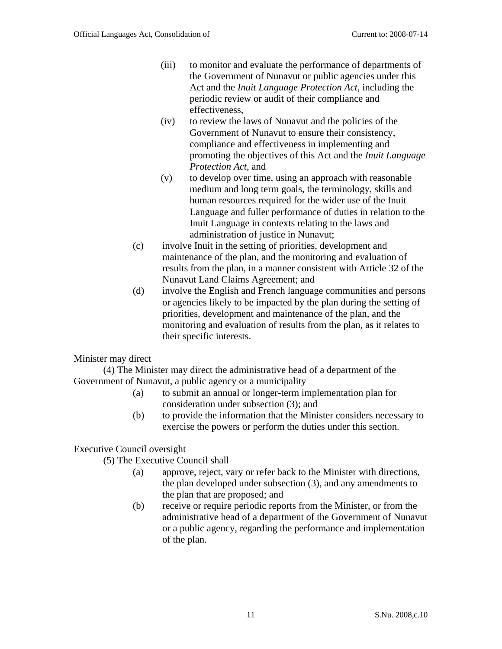- (iii) to monitor and evaluate the performance of departments of the Government of Nunavut or public agencies under this Act and the *Inuit Language Protection Act,* including the periodic review or audit of their compliance and effectiveness,
- (iv) to review the laws of Nunavut and the policies of the Government of Nunavut to ensure their consistency, compliance and effectiveness in implementing and promoting the objectives of this Act and the *Inuit Language Protection Act*, and
- (v) to develop over time, using an approach with reasonable medium and long term goals, the terminology, skills and human resources required for the wider use of the Inuit Language and fuller performance of duties in relation to the Inuit Language in contexts relating to the laws and administration of justice in Nunavut;
- (c) involve Inuit in the setting of priorities, development and maintenance of the plan, and the monitoring and evaluation of results from the plan, in a manner consistent with Article 32 of the Nunavut Land Claims Agreement; and
- (d) involve the English and French language communities and persons or agencies likely to be impacted by the plan during the setting of priorities, development and maintenance of the plan, and the monitoring and evaluation of results from the plan, as it relates to their specific interests.

Minister may direct

(4) The Minister may direct the administrative head of a department of the Government of Nunavut, a public agency or a municipality

- (a) to submit an annual or longer-term implementation plan for consideration under subsection (3); and
- (b) to provide the information that the Minister considers necessary to exercise the powers or perform the duties under this section.

## Executive Council oversight

(5) The Executive Council shall

- (a) approve, reject, vary or refer back to the Minister with directions, the plan developed under subsection (3), and any amendments to the plan that are proposed; and
- (b) receive or require periodic reports from the Minister, or from the administrative head of a department of the Government of Nunavut or a public agency, regarding the performance and implementation of the plan.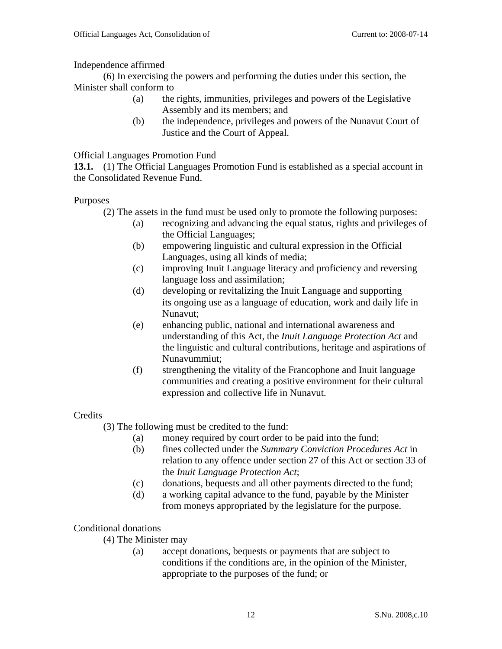Independence affirmed

(6) In exercising the powers and performing the duties under this section, the Minister shall conform to

- (a) the rights, immunities, privileges and powers of the Legislative Assembly and its members; and
- (b) the independence, privileges and powers of the Nunavut Court of Justice and the Court of Appeal.

## Official Languages Promotion Fund

**13.1.** (1) The Official Languages Promotion Fund is established as a special account in the Consolidated Revenue Fund.

Purposes

- (2) The assets in the fund must be used only to promote the following purposes:
	- (a) recognizing and advancing the equal status, rights and privileges of the Official Languages;
	- (b) empowering linguistic and cultural expression in the Official Languages, using all kinds of media;
	- (c) improving Inuit Language literacy and proficiency and reversing language loss and assimilation;
	- (d) developing or revitalizing the Inuit Language and supporting its ongoing use as a language of education, work and daily life in Nunavut;
	- (e) enhancing public, national and international awareness and understanding of this Act, the *Inuit Language Protection Act* and the linguistic and cultural contributions, heritage and aspirations of Nunavummiut;
	- (f) strengthening the vitality of the Francophone and Inuit language communities and creating a positive environment for their cultural expression and collective life in Nunavut.

## **Credits**

- (3) The following must be credited to the fund:
	- (a) money required by court order to be paid into the fund;
	- (b) fines collected under the *Summary Conviction Procedures Act* in relation to any offence under section 27 of this Act or section 33 of the *Inuit Language Protection Act*;
	- (c) donations, bequests and all other payments directed to the fund;
	- (d) a working capital advance to the fund, payable by the Minister from moneys appropriated by the legislature for the purpose.

## Conditional donations

- (4) The Minister may
	- (a) accept donations, bequests or payments that are subject to conditions if the conditions are, in the opinion of the Minister, appropriate to the purposes of the fund; or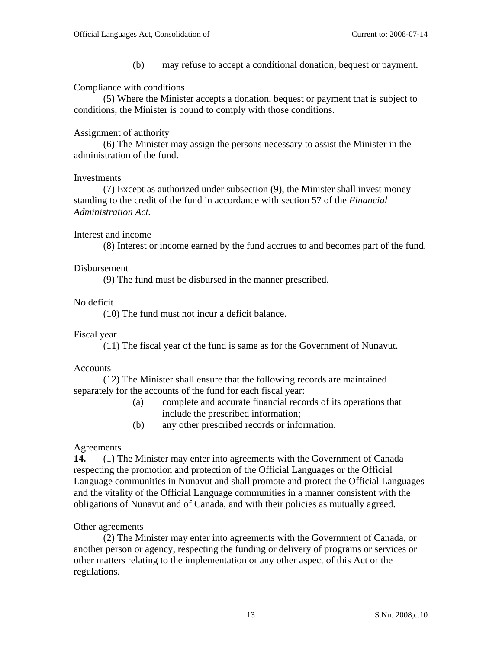(b) may refuse to accept a conditional donation, bequest or payment.

### Compliance with conditions

 (5) Where the Minister accepts a donation, bequest or payment that is subject to conditions, the Minister is bound to comply with those conditions.

### Assignment of authority

(6) The Minister may assign the persons necessary to assist the Minister in the administration of the fund.

#### Investments

(7) Except as authorized under subsection (9), the Minister shall invest money standing to the credit of the fund in accordance with section 57 of the *Financial Administration Act.*

### Interest and income

(8) Interest or income earned by the fund accrues to and becomes part of the fund.

### Disbursement

(9) The fund must be disbursed in the manner prescribed.

### No deficit

(10) The fund must not incur a deficit balance.

#### Fiscal year

(11) The fiscal year of the fund is same as for the Government of Nunavut.

#### Accounts

 (12) The Minister shall ensure that the following records are maintained separately for the accounts of the fund for each fiscal year:

- (a) complete and accurate financial records of its operations that include the prescribed information;
- (b) any other prescribed records or information.

#### Agreements

**14.** (1) The Minister may enter into agreements with the Government of Canada respecting the promotion and protection of the Official Languages or the Official Language communities in Nunavut and shall promote and protect the Official Languages and the vitality of the Official Language communities in a manner consistent with the obligations of Nunavut and of Canada, and with their policies as mutually agreed.

#### Other agreements

(2) The Minister may enter into agreements with the Government of Canada, or another person or agency, respecting the funding or delivery of programs or services or other matters relating to the implementation or any other aspect of this Act or the regulations.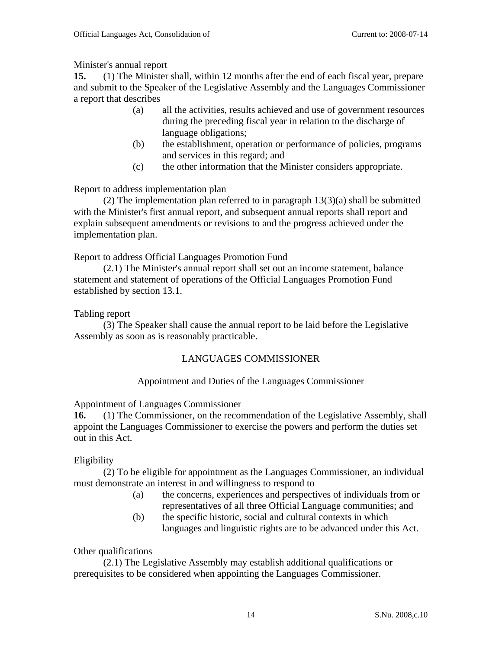## Minister's annual report

**15.** (1) The Minister shall, within 12 months after the end of each fiscal year, prepare and submit to the Speaker of the Legislative Assembly and the Languages Commissioner a report that describes

- (a) all the activities, results achieved and use of government resources during the preceding fiscal year in relation to the discharge of language obligations;
- (b) the establishment, operation or performance of policies, programs and services in this regard; and
- (c) the other information that the Minister considers appropriate.

Report to address implementation plan

(2) The implementation plan referred to in paragraph 13(3)(a) shall be submitted with the Minister's first annual report, and subsequent annual reports shall report and explain subsequent amendments or revisions to and the progress achieved under the implementation plan.

Report to address Official Languages Promotion Fund

(2.1) The Minister's annual report shall set out an income statement, balance statement and statement of operations of the Official Languages Promotion Fund established by section 13.1.

## Tabling report

(3) The Speaker shall cause the annual report to be laid before the Legislative Assembly as soon as is reasonably practicable.

## LANGUAGES COMMISSIONER

## Appointment and Duties of the Languages Commissioner

Appointment of Languages Commissioner

**16.** (1) The Commissioner, on the recommendation of the Legislative Assembly, shall appoint the Languages Commissioner to exercise the powers and perform the duties set out in this Act.

## Eligibility

(2) To be eligible for appointment as the Languages Commissioner, an individual must demonstrate an interest in and willingness to respond to

- (a) the concerns, experiences and perspectives of individuals from or representatives of all three Official Language communities; and
- (b) the specific historic, social and cultural contexts in which languages and linguistic rights are to be advanced under this Act.

Other qualifications

(2.1) The Legislative Assembly may establish additional qualifications or prerequisites to be considered when appointing the Languages Commissioner.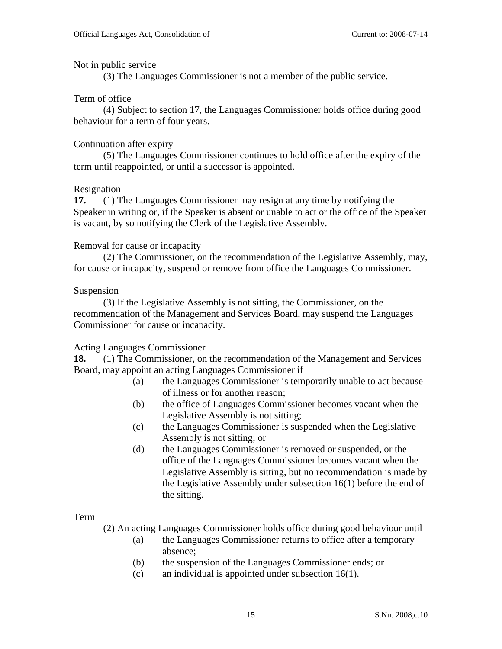#### Not in public service

(3) The Languages Commissioner is not a member of the public service.

### Term of office

(4) Subject to section 17, the Languages Commissioner holds office during good behaviour for a term of four years.

### Continuation after expiry

 (5) The Languages Commissioner continues to hold office after the expiry of the term until reappointed, or until a successor is appointed.

#### Resignation

**17.** (1) The Languages Commissioner may resign at any time by notifying the Speaker in writing or, if the Speaker is absent or unable to act or the office of the Speaker is vacant, by so notifying the Clerk of the Legislative Assembly.

### Removal for cause or incapacity

(2) The Commissioner, on the recommendation of the Legislative Assembly, may, for cause or incapacity, suspend or remove from office the Languages Commissioner.

#### Suspension

(3) If the Legislative Assembly is not sitting, the Commissioner, on the recommendation of the Management and Services Board, may suspend the Languages Commissioner for cause or incapacity.

## Acting Languages Commissioner

**18.** (1) The Commissioner, on the recommendation of the Management and Services Board, may appoint an acting Languages Commissioner if

- (a) the Languages Commissioner is temporarily unable to act because of illness or for another reason;
- (b) the office of Languages Commissioner becomes vacant when the Legislative Assembly is not sitting;
- (c) the Languages Commissioner is suspended when the Legislative Assembly is not sitting; or
- (d) the Languages Commissioner is removed or suspended, or the office of the Languages Commissioner becomes vacant when the Legislative Assembly is sitting, but no recommendation is made by the Legislative Assembly under subsection 16(1) before the end of the sitting.

#### Term

(2) An acting Languages Commissioner holds office during good behaviour until

- (a) the Languages Commissioner returns to office after a temporary absence;
- (b) the suspension of the Languages Commissioner ends; or
- (c) an individual is appointed under subsection 16(1).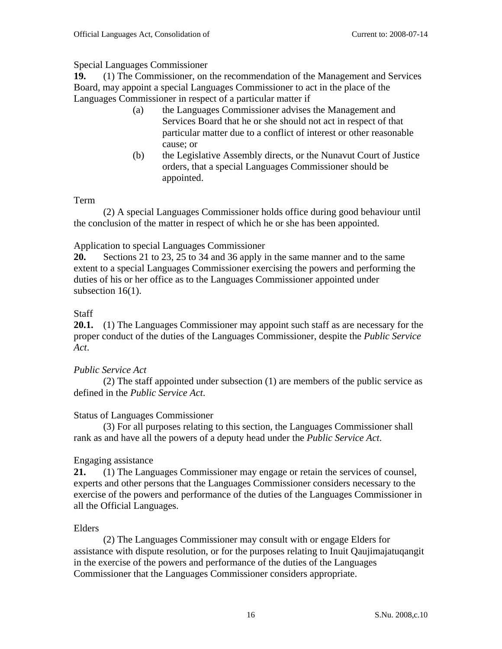## Special Languages Commissioner

**19.** (1) The Commissioner, on the recommendation of the Management and Services Board, may appoint a special Languages Commissioner to act in the place of the Languages Commissioner in respect of a particular matter if

- (a) the Languages Commissioner advises the Management and Services Board that he or she should not act in respect of that particular matter due to a conflict of interest or other reasonable cause; or
- (b) the Legislative Assembly directs, or the Nunavut Court of Justice orders, that a special Languages Commissioner should be appointed.

## Term

(2) A special Languages Commissioner holds office during good behaviour until the conclusion of the matter in respect of which he or she has been appointed.

## Application to special Languages Commissioner

**20.** Sections 21 to 23, 25 to 34 and 36 apply in the same manner and to the same extent to a special Languages Commissioner exercising the powers and performing the duties of his or her office as to the Languages Commissioner appointed under subsection 16(1).

## Staff

**20.1.** (1) The Languages Commissioner may appoint such staff as are necessary for the proper conduct of the duties of the Languages Commissioner, despite the *Public Service Act*.

## *Public Service Act*

(2) The staff appointed under subsection (1) are members of the public service as defined in the *Public Service Act*.

## Status of Languages Commissioner

(3) For all purposes relating to this section, the Languages Commissioner shall rank as and have all the powers of a deputy head under the *Public Service Act*.

## Engaging assistance

**21.** (1) The Languages Commissioner may engage or retain the services of counsel, experts and other persons that the Languages Commissioner considers necessary to the exercise of the powers and performance of the duties of the Languages Commissioner in all the Official Languages.

## Elders

 (2) The Languages Commissioner may consult with or engage Elders for assistance with dispute resolution, or for the purposes relating to Inuit Qaujimajatuqangit in the exercise of the powers and performance of the duties of the Languages Commissioner that the Languages Commissioner considers appropriate.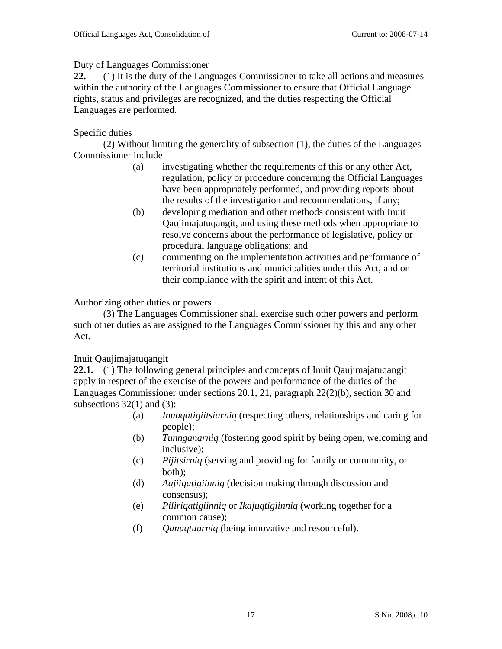## Duty of Languages Commissioner

**22.** (1) It is the duty of the Languages Commissioner to take all actions and measures within the authority of the Languages Commissioner to ensure that Official Language rights, status and privileges are recognized, and the duties respecting the Official Languages are performed.

## Specific duties

(2) Without limiting the generality of subsection (1), the duties of the Languages Commissioner include

- (a) investigating whether the requirements of this or any other Act, regulation, policy or procedure concerning the Official Languages have been appropriately performed, and providing reports about the results of the investigation and recommendations, if any;
- (b) developing mediation and other methods consistent with Inuit Qaujimajatuqangit, and using these methods when appropriate to resolve concerns about the performance of legislative, policy or procedural language obligations; and
- (c) commenting on the implementation activities and performance of territorial institutions and municipalities under this Act, and on their compliance with the spirit and intent of this Act.

## Authorizing other duties or powers

(3) The Languages Commissioner shall exercise such other powers and perform such other duties as are assigned to the Languages Commissioner by this and any other Act.

## Inuit Qaujimajatuqangit

**22.1.** (1) The following general principles and concepts of Inuit Qaujimajatuqangit apply in respect of the exercise of the powers and performance of the duties of the Languages Commissioner under sections 20.1, 21, paragraph 22(2)(b), section 30 and subsections  $32(1)$  and  $(3)$ :

- (a) *Inuuqatigiitsiarniq* (respecting others, relationships and caring for people);
- (b) *Tunnganarniq* (fostering good spirit by being open, welcoming and inclusive);
- (c) *Pijitsirniq* (serving and providing for family or community, or both);
- (d) *Aajiiqatigiinniq* (decision making through discussion and consensus);
- (e) *Piliriqatigiinniq* or *Ikajuqtigiinniq* (working together for a common cause);
- (f) *Qanuqtuurniq* (being innovative and resourceful).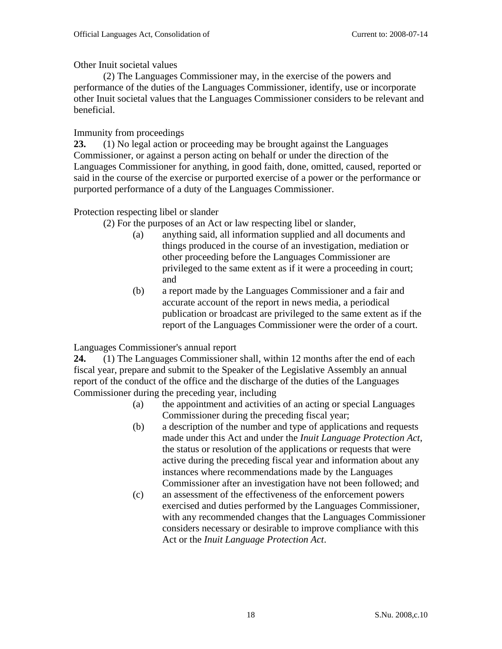Other Inuit societal values

(2) The Languages Commissioner may, in the exercise of the powers and performance of the duties of the Languages Commissioner, identify, use or incorporate other Inuit societal values that the Languages Commissioner considers to be relevant and beneficial.

## Immunity from proceedings

**23.** (1) No legal action or proceeding may be brought against the Languages Commissioner, or against a person acting on behalf or under the direction of the Languages Commissioner for anything, in good faith, done, omitted, caused, reported or said in the course of the exercise or purported exercise of a power or the performance or purported performance of a duty of the Languages Commissioner.

## Protection respecting libel or slander

- (2) For the purposes of an Act or law respecting libel or slander,
	- (a) anything said, all information supplied and all documents and things produced in the course of an investigation, mediation or other proceeding before the Languages Commissioner are privileged to the same extent as if it were a proceeding in court; and
	- (b) a report made by the Languages Commissioner and a fair and accurate account of the report in news media, a periodical publication or broadcast are privileged to the same extent as if the report of the Languages Commissioner were the order of a court.

Languages Commissioner's annual report

**24.** (1) The Languages Commissioner shall, within 12 months after the end of each fiscal year, prepare and submit to the Speaker of the Legislative Assembly an annual report of the conduct of the office and the discharge of the duties of the Languages Commissioner during the preceding year, including

- (a) the appointment and activities of an acting or special Languages Commissioner during the preceding fiscal year;
- (b) a description of the number and type of applications and requests made under this Act and under the *Inuit Language Protection Act*, the status or resolution of the applications or requests that were active during the preceding fiscal year and information about any instances where recommendations made by the Languages Commissioner after an investigation have not been followed; and
- (c) an assessment of the effectiveness of the enforcement powers exercised and duties performed by the Languages Commissioner, with any recommended changes that the Languages Commissioner considers necessary or desirable to improve compliance with this Act or the *Inuit Language Protection Act*.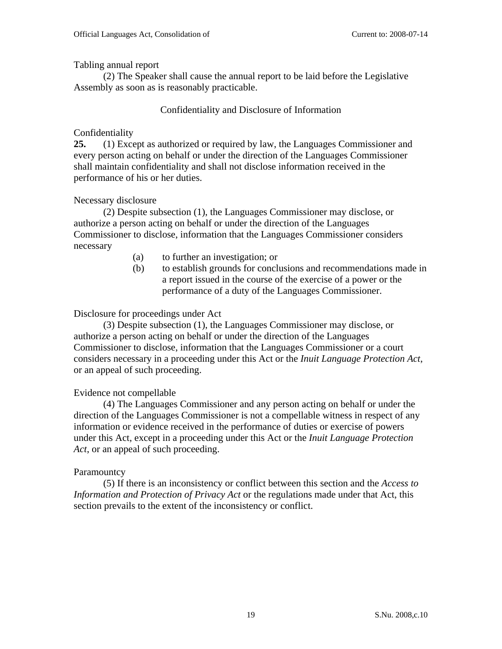Tabling annual report

(2) The Speaker shall cause the annual report to be laid before the Legislative Assembly as soon as is reasonably practicable.

## Confidentiality and Disclosure of Information

## Confidentiality

**25.** (1) Except as authorized or required by law, the Languages Commissioner and every person acting on behalf or under the direction of the Languages Commissioner shall maintain confidentiality and shall not disclose information received in the performance of his or her duties.

## Necessary disclosure

 (2) Despite subsection (1), the Languages Commissioner may disclose, or authorize a person acting on behalf or under the direction of the Languages Commissioner to disclose, information that the Languages Commissioner considers necessary

- (a) to further an investigation; or
- (b) to establish grounds for conclusions and recommendations made in a report issued in the course of the exercise of a power or the performance of a duty of the Languages Commissioner.

## Disclosure for proceedings under Act

(3) Despite subsection (1), the Languages Commissioner may disclose, or authorize a person acting on behalf or under the direction of the Languages Commissioner to disclose, information that the Languages Commissioner or a court considers necessary in a proceeding under this Act or the *Inuit Language Protection Act*, or an appeal of such proceeding.

## Evidence not compellable

(4) The Languages Commissioner and any person acting on behalf or under the direction of the Languages Commissioner is not a compellable witness in respect of any information or evidence received in the performance of duties or exercise of powers under this Act, except in a proceeding under this Act or the *Inuit Language Protection Act*, or an appeal of such proceeding.

## **Paramountcy**

(5) If there is an inconsistency or conflict between this section and the *Access to Information and Protection of Privacy Act* or the regulations made under that Act, this section prevails to the extent of the inconsistency or conflict.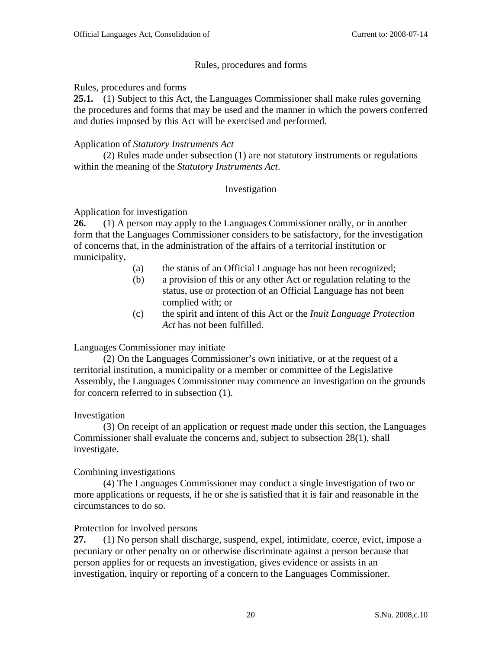### Rules, procedures and forms

Rules, procedures and forms

**25.1.** (1) Subject to this Act, the Languages Commissioner shall make rules governing the procedures and forms that may be used and the manner in which the powers conferred and duties imposed by this Act will be exercised and performed.

### Application of *Statutory Instruments Act*

(2) Rules made under subsection (1) are not statutory instruments or regulations within the meaning of the *Statutory Instruments Act*.

### Investigation

### Application for investigation

**26.** (1) A person may apply to the Languages Commissioner orally, or in another form that the Languages Commissioner considers to be satisfactory, for the investigation of concerns that, in the administration of the affairs of a territorial institution or municipality,

- (a) the status of an Official Language has not been recognized;
- (b) a provision of this or any other Act or regulation relating to the status, use or protection of an Official Language has not been complied with; or
- (c) the spirit and intent of this Act or the *Inuit Language Protection Act* has not been fulfilled.

## Languages Commissioner may initiate

(2) On the Languages Commissioner's own initiative, or at the request of a territorial institution, a municipality or a member or committee of the Legislative Assembly, the Languages Commissioner may commence an investigation on the grounds for concern referred to in subsection (1).

#### Investigation

(3) On receipt of an application or request made under this section, the Languages Commissioner shall evaluate the concerns and, subject to subsection 28(1), shall investigate.

#### Combining investigations

(4) The Languages Commissioner may conduct a single investigation of two or more applications or requests, if he or she is satisfied that it is fair and reasonable in the circumstances to do so.

#### Protection for involved persons

**27.** (1) No person shall discharge, suspend, expel, intimidate, coerce, evict, impose a pecuniary or other penalty on or otherwise discriminate against a person because that person applies for or requests an investigation, gives evidence or assists in an investigation, inquiry or reporting of a concern to the Languages Commissioner.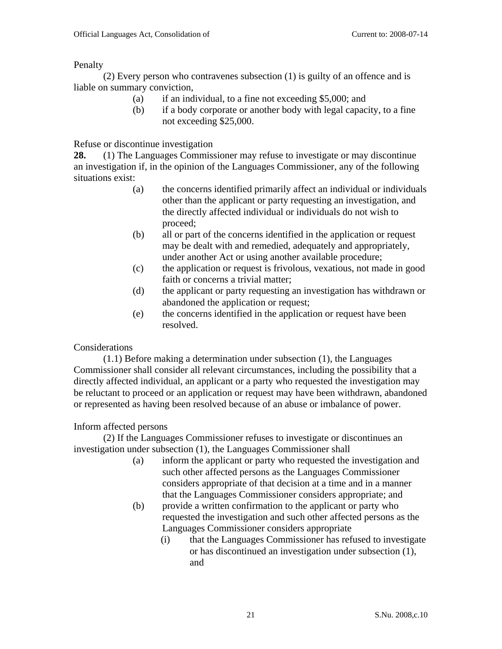Penalty

 (2) Every person who contravenes subsection (1) is guilty of an offence and is liable on summary conviction,

- (a) if an individual, to a fine not exceeding \$5,000; and
- (b) if a body corporate or another body with legal capacity, to a fine not exceeding \$25,000.

Refuse or discontinue investigation

**28.** (1) The Languages Commissioner may refuse to investigate or may discontinue an investigation if, in the opinion of the Languages Commissioner, any of the following situations exist:

- (a) the concerns identified primarily affect an individual or individuals other than the applicant or party requesting an investigation, and the directly affected individual or individuals do not wish to proceed;
- (b) all or part of the concerns identified in the application or request may be dealt with and remedied, adequately and appropriately, under another Act or using another available procedure;
- (c) the application or request is frivolous, vexatious, not made in good faith or concerns a trivial matter;
- (d) the applicant or party requesting an investigation has withdrawn or abandoned the application or request;
- (e) the concerns identified in the application or request have been resolved.

## Considerations

(1.1) Before making a determination under subsection (1), the Languages Commissioner shall consider all relevant circumstances, including the possibility that a directly affected individual, an applicant or a party who requested the investigation may be reluctant to proceed or an application or request may have been withdrawn, abandoned or represented as having been resolved because of an abuse or imbalance of power.

## Inform affected persons

(2) If the Languages Commissioner refuses to investigate or discontinues an investigation under subsection (1), the Languages Commissioner shall

- (a) inform the applicant or party who requested the investigation and such other affected persons as the Languages Commissioner considers appropriate of that decision at a time and in a manner that the Languages Commissioner considers appropriate; and
- (b) provide a written confirmation to the applicant or party who requested the investigation and such other affected persons as the Languages Commissioner considers appropriate
	- (i) that the Languages Commissioner has refused to investigate or has discontinued an investigation under subsection (1), and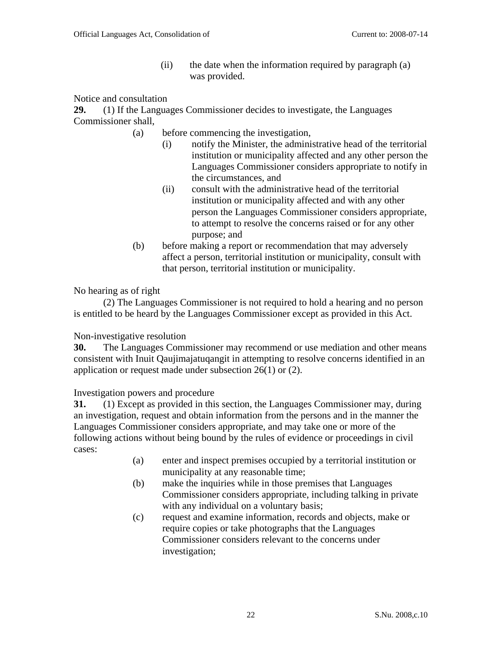(ii) the date when the information required by paragraph (a) was provided.

Notice and consultation

**29.** (1) If the Languages Commissioner decides to investigate, the Languages Commissioner shall,

- (a) before commencing the investigation,
	- (i) notify the Minister, the administrative head of the territorial institution or municipality affected and any other person the Languages Commissioner considers appropriate to notify in the circumstances, and
	- (ii) consult with the administrative head of the territorial institution or municipality affected and with any other person the Languages Commissioner considers appropriate, to attempt to resolve the concerns raised or for any other purpose; and
- (b) before making a report or recommendation that may adversely affect a person, territorial institution or municipality, consult with that person, territorial institution or municipality.

No hearing as of right

 (2) The Languages Commissioner is not required to hold a hearing and no person is entitled to be heard by the Languages Commissioner except as provided in this Act.

Non-investigative resolution

**30.** The Languages Commissioner may recommend or use mediation and other means consistent with Inuit Qaujimajatuqangit in attempting to resolve concerns identified in an application or request made under subsection 26(1) or (2).

Investigation powers and procedure

**31.** (1) Except as provided in this section, the Languages Commissioner may, during an investigation, request and obtain information from the persons and in the manner the Languages Commissioner considers appropriate, and may take one or more of the following actions without being bound by the rules of evidence or proceedings in civil cases:

- (a) enter and inspect premises occupied by a territorial institution or municipality at any reasonable time;
- (b) make the inquiries while in those premises that Languages Commissioner considers appropriate, including talking in private with any individual on a voluntary basis;
- (c) request and examine information, records and objects, make or require copies or take photographs that the Languages Commissioner considers relevant to the concerns under investigation;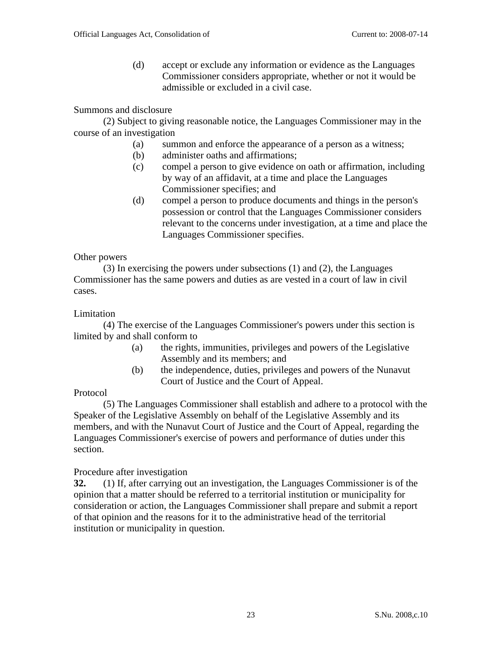(d) accept or exclude any information or evidence as the Languages Commissioner considers appropriate, whether or not it would be admissible or excluded in a civil case.

### Summons and disclosure

(2) Subject to giving reasonable notice, the Languages Commissioner may in the course of an investigation

- (a) summon and enforce the appearance of a person as a witness;
- (b) administer oaths and affirmations;
- (c) compel a person to give evidence on oath or affirmation, including by way of an affidavit, at a time and place the Languages Commissioner specifies; and
- (d) compel a person to produce documents and things in the person's possession or control that the Languages Commissioner considers relevant to the concerns under investigation, at a time and place the Languages Commissioner specifies.

#### Other powers

(3) In exercising the powers under subsections (1) and (2), the Languages Commissioner has the same powers and duties as are vested in a court of law in civil cases.

#### Limitation

(4) The exercise of the Languages Commissioner's powers under this section is limited by and shall conform to

- (a) the rights, immunities, privileges and powers of the Legislative Assembly and its members; and
- (b) the independence, duties, privileges and powers of the Nunavut Court of Justice and the Court of Appeal.

#### Protocol

(5) The Languages Commissioner shall establish and adhere to a protocol with the Speaker of the Legislative Assembly on behalf of the Legislative Assembly and its members, and with the Nunavut Court of Justice and the Court of Appeal, regarding the Languages Commissioner's exercise of powers and performance of duties under this section.

#### Procedure after investigation

**32.** (1) If, after carrying out an investigation, the Languages Commissioner is of the opinion that a matter should be referred to a territorial institution or municipality for consideration or action, the Languages Commissioner shall prepare and submit a report of that opinion and the reasons for it to the administrative head of the territorial institution or municipality in question.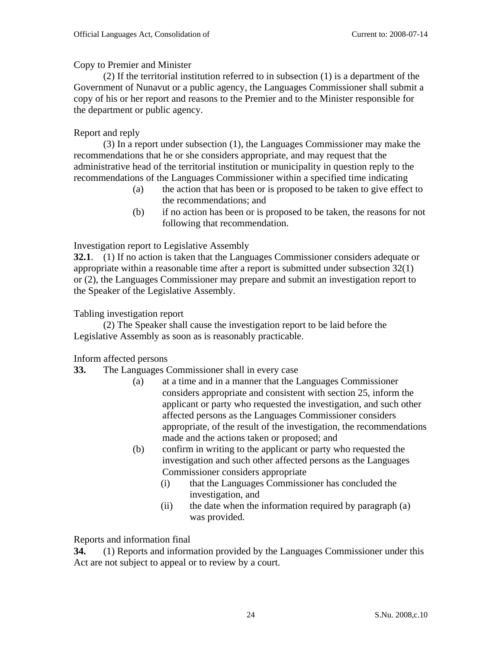## Copy to Premier and Minister

(2) If the territorial institution referred to in subsection (1) is a department of the Government of Nunavut or a public agency, the Languages Commissioner shall submit a copy of his or her report and reasons to the Premier and to the Minister responsible for the department or public agency.

## Report and reply

(3) In a report under subsection (1), the Languages Commissioner may make the recommendations that he or she considers appropriate, and may request that the administrative head of the territorial institution or municipality in question reply to the recommendations of the Languages Commissioner within a specified time indicating

- (a) the action that has been or is proposed to be taken to give effect to the recommendations; and
- (b) if no action has been or is proposed to be taken, the reasons for not following that recommendation.

## Investigation report to Legislative Assembly

**32.1**. (1) If no action is taken that the Languages Commissioner considers adequate or appropriate within a reasonable time after a report is submitted under subsection 32(1) or (2), the Languages Commissioner may prepare and submit an investigation report to the Speaker of the Legislative Assembly.

## Tabling investigation report

(2) The Speaker shall cause the investigation report to be laid before the Legislative Assembly as soon as is reasonably practicable.

## Inform affected persons

- **33.** The Languages Commissioner shall in every case
	- (a) at a time and in a manner that the Languages Commissioner considers appropriate and consistent with section 25, inform the applicant or party who requested the investigation, and such other affected persons as the Languages Commissioner considers appropriate, of the result of the investigation, the recommendations made and the actions taken or proposed; and
	- (b) confirm in writing to the applicant or party who requested the investigation and such other affected persons as the Languages Commissioner considers appropriate
		- (i) that the Languages Commissioner has concluded the investigation, and
		- (ii) the date when the information required by paragraph (a) was provided.

## Reports and information final

**34.** (1) Reports and information provided by the Languages Commissioner under this Act are not subject to appeal or to review by a court.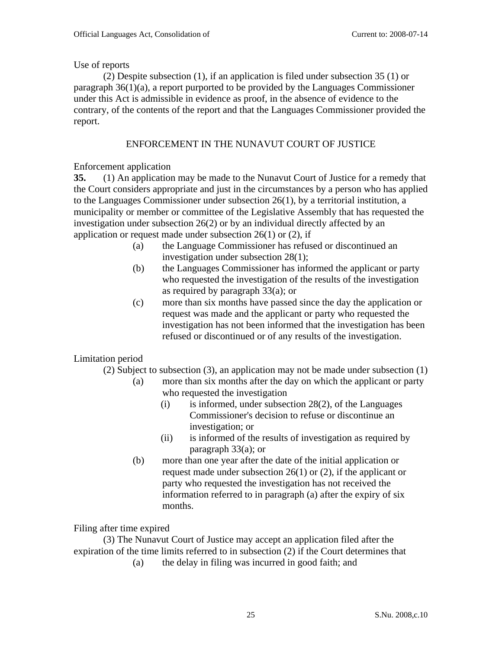### Use of reports

 (2) Despite subsection (1), if an application is filed under subsection 35 (1) or paragraph 36(1)(a), a report purported to be provided by the Languages Commissioner under this Act is admissible in evidence as proof, in the absence of evidence to the contrary, of the contents of the report and that the Languages Commissioner provided the report.

## ENFORCEMENT IN THE NUNAVUT COURT OF JUSTICE

### Enforcement application

**35.** (1) An application may be made to the Nunavut Court of Justice for a remedy that the Court considers appropriate and just in the circumstances by a person who has applied to the Languages Commissioner under subsection 26(1), by a territorial institution, a municipality or member or committee of the Legislative Assembly that has requested the investigation under subsection 26(2) or by an individual directly affected by an application or request made under subsection  $26(1)$  or  $(2)$ , if

- (a) the Language Commissioner has refused or discontinued an investigation under subsection 28(1);
- (b) the Languages Commissioner has informed the applicant or party who requested the investigation of the results of the investigation as required by paragraph 33(a); or
- (c) more than six months have passed since the day the application or request was made and the applicant or party who requested the investigation has not been informed that the investigation has been refused or discontinued or of any results of the investigation.

## Limitation period

(2) Subject to subsection (3), an application may not be made under subsection (1)

- (a) more than six months after the day on which the applicant or party who requested the investigation
	- (i) is informed, under subsection 28(2), of the Languages Commissioner's decision to refuse or discontinue an investigation; or
	- (ii) is informed of the results of investigation as required by paragraph 33(a); or
- (b) more than one year after the date of the initial application or request made under subsection 26(1) or (2), if the applicant or party who requested the investigation has not received the information referred to in paragraph (a) after the expiry of six months.

#### Filing after time expired

(3) The Nunavut Court of Justice may accept an application filed after the expiration of the time limits referred to in subsection (2) if the Court determines that

(a) the delay in filing was incurred in good faith; and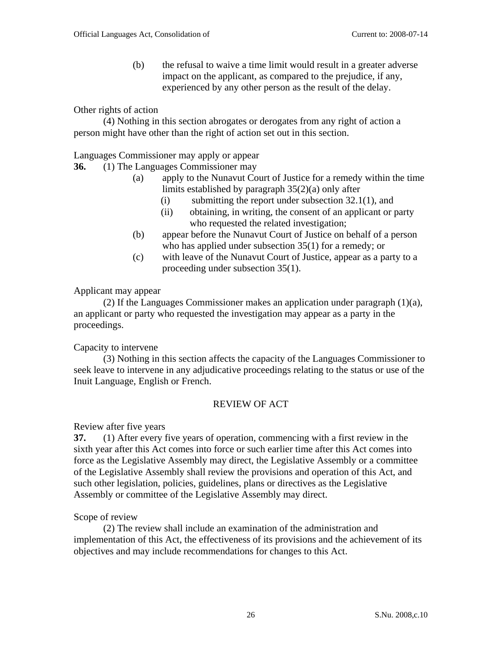(b) the refusal to waive a time limit would result in a greater adverse impact on the applicant, as compared to the prejudice, if any, experienced by any other person as the result of the delay.

### Other rights of action

 (4) Nothing in this section abrogates or derogates from any right of action a person might have other than the right of action set out in this section.

Languages Commissioner may apply or appear

### **36.** (1) The Languages Commissioner may

- (a) apply to the Nunavut Court of Justice for a remedy within the time limits established by paragraph 35(2)(a) only after
	- (i) submitting the report under subsection 32.1(1), and
	- (ii) obtaining, in writing, the consent of an applicant or party who requested the related investigation;
- (b) appear before the Nunavut Court of Justice on behalf of a person who has applied under subsection 35(1) for a remedy; or
- (c) with leave of the Nunavut Court of Justice, appear as a party to a proceeding under subsection 35(1).

#### Applicant may appear

(2) If the Languages Commissioner makes an application under paragraph  $(1)(a)$ , an applicant or party who requested the investigation may appear as a party in the proceedings.

## Capacity to intervene

 (3) Nothing in this section affects the capacity of the Languages Commissioner to seek leave to intervene in any adjudicative proceedings relating to the status or use of the Inuit Language, English or French.

## REVIEW OF ACT

Review after five years

**37.** (1) After every five years of operation, commencing with a first review in the sixth year after this Act comes into force or such earlier time after this Act comes into force as the Legislative Assembly may direct, the Legislative Assembly or a committee of the Legislative Assembly shall review the provisions and operation of this Act, and such other legislation, policies, guidelines, plans or directives as the Legislative Assembly or committee of the Legislative Assembly may direct.

#### Scope of review

(2) The review shall include an examination of the administration and implementation of this Act, the effectiveness of its provisions and the achievement of its objectives and may include recommendations for changes to this Act.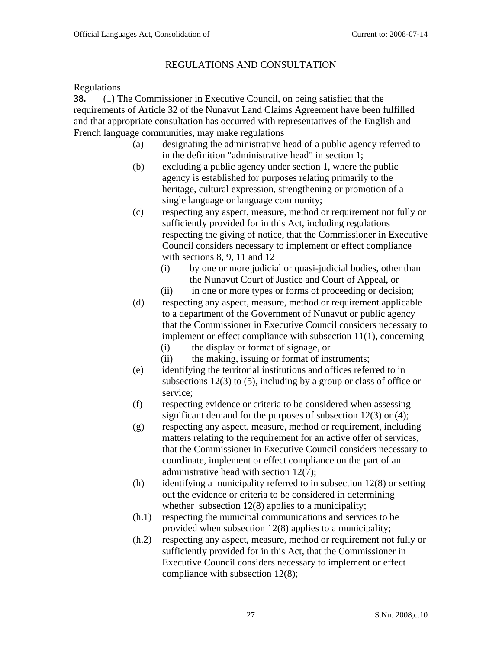## REGULATIONS AND CONSULTATION

#### Regulations

**38.** (1) The Commissioner in Executive Council, on being satisfied that the requirements of Article 32 of the Nunavut Land Claims Agreement have been fulfilled and that appropriate consultation has occurred with representatives of the English and French language communities, may make regulations

- (a) designating the administrative head of a public agency referred to in the definition "administrative head" in section 1;
- (b) excluding a public agency under section 1, where the public agency is established for purposes relating primarily to the heritage, cultural expression, strengthening or promotion of a single language or language community;
- (c) respecting any aspect, measure, method or requirement not fully or sufficiently provided for in this Act, including regulations respecting the giving of notice, that the Commissioner in Executive Council considers necessary to implement or effect compliance with sections 8, 9, 11 and 12
	- (i) by one or more judicial or quasi-judicial bodies, other than the Nunavut Court of Justice and Court of Appeal, or
	- (ii) in one or more types or forms of proceeding or decision;
- (d) respecting any aspect, measure, method or requirement applicable to a department of the Government of Nunavut or public agency that the Commissioner in Executive Council considers necessary to implement or effect compliance with subsection 11(1), concerning
	- (i) the display or format of signage, or
	- (ii) the making, issuing or format of instruments;
- (e) identifying the territorial institutions and offices referred to in subsections 12(3) to (5), including by a group or class of office or service;
- (f) respecting evidence or criteria to be considered when assessing significant demand for the purposes of subsection 12(3) or (4);
- (g) respecting any aspect, measure, method or requirement, including matters relating to the requirement for an active offer of services, that the Commissioner in Executive Council considers necessary to coordinate, implement or effect compliance on the part of an administrative head with section 12(7);
- (h) identifying a municipality referred to in subsection 12(8) or setting out the evidence or criteria to be considered in determining whether subsection  $12(8)$  applies to a municipality;
- (h.1) respecting the municipal communications and services to be provided when subsection 12(8) applies to a municipality;
- (h.2) respecting any aspect, measure, method or requirement not fully or sufficiently provided for in this Act, that the Commissioner in Executive Council considers necessary to implement or effect compliance with subsection 12(8);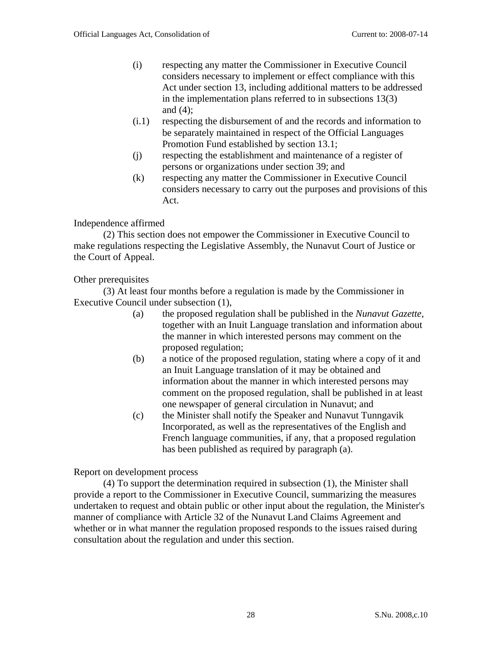- (i) respecting any matter the Commissioner in Executive Council considers necessary to implement or effect compliance with this Act under section 13, including additional matters to be addressed in the implementation plans referred to in subsections 13(3) and (4);
- (i.1) respecting the disbursement of and the records and information to be separately maintained in respect of the Official Languages Promotion Fund established by section 13.1;
- (j) respecting the establishment and maintenance of a register of persons or organizations under section 39; and
- (k) respecting any matter the Commissioner in Executive Council considers necessary to carry out the purposes and provisions of this Act.

### Independence affirmed

(2) This section does not empower the Commissioner in Executive Council to make regulations respecting the Legislative Assembly, the Nunavut Court of Justice or the Court of Appeal.

#### Other prerequisites

(3) At least four months before a regulation is made by the Commissioner in Executive Council under subsection (1),

- (a) the proposed regulation shall be published in the *Nunavut Gazette*, together with an Inuit Language translation and information about the manner in which interested persons may comment on the proposed regulation;
- (b) a notice of the proposed regulation, stating where a copy of it and an Inuit Language translation of it may be obtained and information about the manner in which interested persons may comment on the proposed regulation, shall be published in at least one newspaper of general circulation in Nunavut; and
- (c) the Minister shall notify the Speaker and Nunavut Tunngavik Incorporated, as well as the representatives of the English and French language communities, if any, that a proposed regulation has been published as required by paragraph (a).

Report on development process

(4) To support the determination required in subsection (1), the Minister shall provide a report to the Commissioner in Executive Council, summarizing the measures undertaken to request and obtain public or other input about the regulation, the Minister's manner of compliance with Article 32 of the Nunavut Land Claims Agreement and whether or in what manner the regulation proposed responds to the issues raised during consultation about the regulation and under this section.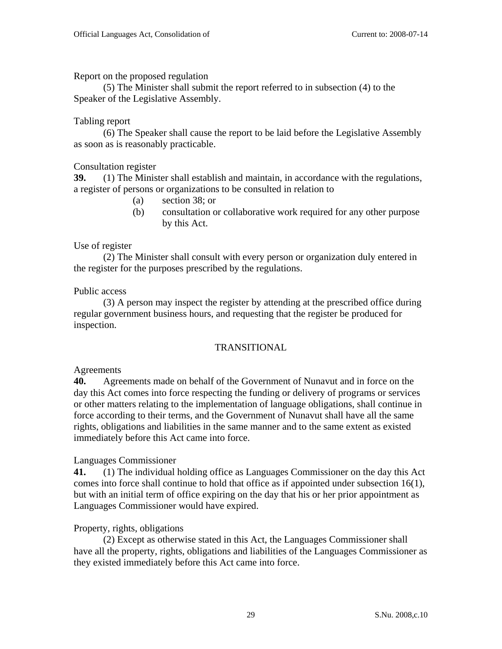Report on the proposed regulation

(5) The Minister shall submit the report referred to in subsection (4) to the Speaker of the Legislative Assembly.

### Tabling report

(6) The Speaker shall cause the report to be laid before the Legislative Assembly as soon as is reasonably practicable.

### Consultation register

**39.** (1) The Minister shall establish and maintain, in accordance with the regulations, a register of persons or organizations to be consulted in relation to

- (a) section 38; or
- (b) consultation or collaborative work required for any other purpose by this Act.

### Use of register

 (2) The Minister shall consult with every person or organization duly entered in the register for the purposes prescribed by the regulations.

### Public access

 (3) A person may inspect the register by attending at the prescribed office during regular government business hours, and requesting that the register be produced for inspection.

## TRANSITIONAL

## Agreements

**40.** Agreements made on behalf of the Government of Nunavut and in force on the day this Act comes into force respecting the funding or delivery of programs or services or other matters relating to the implementation of language obligations, shall continue in force according to their terms, and the Government of Nunavut shall have all the same rights, obligations and liabilities in the same manner and to the same extent as existed immediately before this Act came into force.

## Languages Commissioner

**41.** (1) The individual holding office as Languages Commissioner on the day this Act comes into force shall continue to hold that office as if appointed under subsection 16(1), but with an initial term of office expiring on the day that his or her prior appointment as Languages Commissioner would have expired.

## Property, rights, obligations

(2) Except as otherwise stated in this Act, the Languages Commissioner shall have all the property, rights, obligations and liabilities of the Languages Commissioner as they existed immediately before this Act came into force.